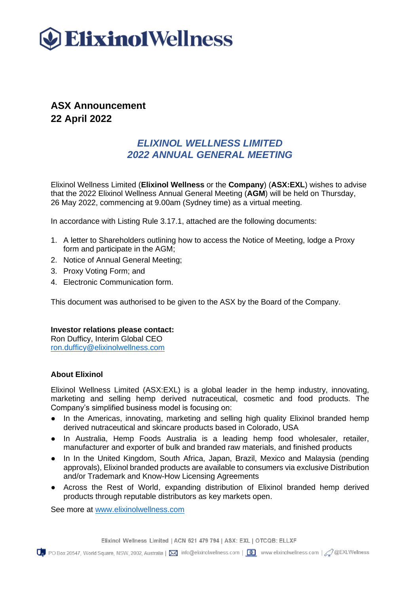

## **ASX Announcement 22 April 2022**

## *ELIXINOL WELLNESS LIMITED 2022 ANNUAL GENERAL MEETING*

Elixinol Wellness Limited (**Elixinol Wellness** or the **Company**) (**ASX:EXL**) wishes to advise that the 2022 Elixinol Wellness Annual General Meeting (**AGM**) will be held on Thursday, 26 May 2022, commencing at 9.00am (Sydney time) as a virtual meeting.

In accordance with Listing Rule 3.17.1, attached are the following documents:

- 1. A letter to Shareholders outlining how to access the Notice of Meeting, lodge a Proxy form and participate in the AGM;
- 2. Notice of Annual General Meeting;
- 3. Proxy Voting Form; and
- 4. Electronic Communication form.

This document was authorised to be given to the ASX by the Board of the Company.

### **Investor relations please contact:**

Ron Dufficy, Interim Global CEO [ron.dufficy@elixinolwellness.com](mailto:ron.dufficy@elixinolwellness.com)

### **About Elixinol**

Elixinol Wellness Limited (ASX:EXL) is a global leader in the hemp industry, innovating, marketing and selling hemp derived nutraceutical, cosmetic and food products. The Company's simplified business model is focusing on:

- In the Americas, innovating, marketing and selling high quality Elixinol branded hemp derived nutraceutical and skincare products based in Colorado, USA
- In Australia, Hemp Foods Australia is a leading hemp food wholesaler, retailer, manufacturer and exporter of bulk and branded raw materials, and finished products
- In In the United Kingdom, South Africa, Japan, Brazil, Mexico and Malaysia (pending approvals), Elixinol branded products are available to consumers via exclusive Distribution and/or Trademark and Know-How Licensing Agreements
- Across the Rest of World, expanding distribution of Elixinol branded hemp derived products through reputable distributors as key markets open.

See more at [www.elixinolwellness.com](http://www.elixinolwellness.com/)

Elixinol Wellness Limited | ACN 621 479 794 | ASX: EXL | OTCQB: ELLXF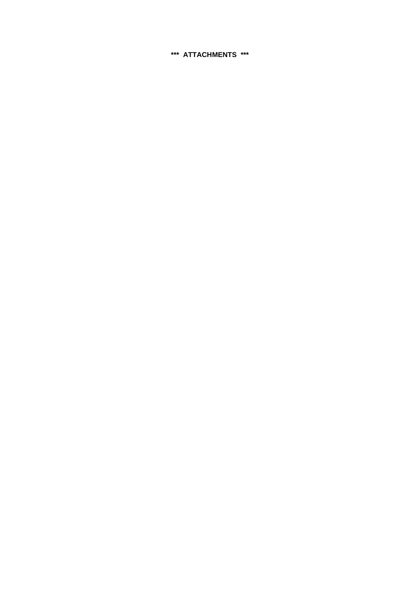**\*\*\* ATTACHMENTS \*\*\***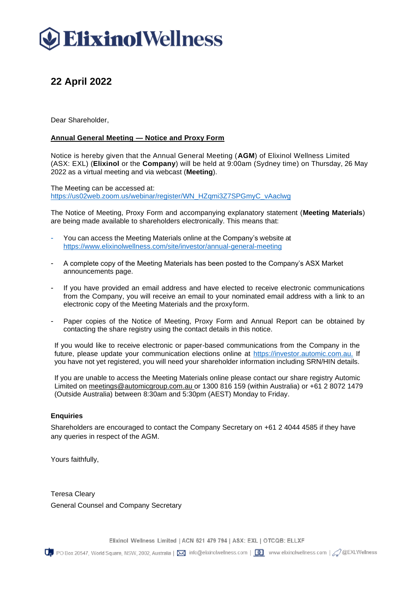# **Elixino1Wellness**

# **22 April 2022**

Dear Shareholder,

## **Annual General Meeting — Notice and Proxy Form**

Notice is hereby given that the Annual General Meeting (**AGM**) of Elixinol Wellness Limited (ASX: EXL) (**Elixinol** or the **Company**) will be held at 9:00am (Sydney time) on Thursday, 26 May 2022 as a virtual meeting and via webcast (**Meeting**).

The Meeting can be accessed at: [https://us02web.zoom.us/webinar/register/WN\\_HZqmi3Z7SPGmyC\\_vAaclwg](https://us02web.zoom.us/webinar/register/WN_HZqmi3Z7SPGmyC_vAaclwg)

The Notice of Meeting, Proxy Form and accompanying explanatory statement (**Meeting Materials**) are being made available to shareholders electronically. This means that:

- You can access the Meeting Materials online at the Company's website at <https://www.elixinolwellness.com/site/investor/annual-general-meeting>
- A complete copy of the Meeting Materials has been posted to the Company's ASX Market announcements page.
- If you have provided an email address and have elected to receive electronic communications from the Company, you will receive an email to your nominated email address with a link to an electronic copy of the Meeting Materials and the proxyform.
- Paper copies of the Notice of Meeting, Proxy Form and Annual Report can be obtained by contacting the share registry using the contact details in this notice.

If you would like to receive electronic or paper-based communications from the Company in the future, please update your communication elections online at https://investor.automic.com.au. If you have not yet registered, you will need your shareholder information including SRN/HIN details.

If you are unable to access the Meeting Materials online please contact our share registry Automic Limited on [meetings@automicgroup.com.au](mailto:meetings@automicgroup.com.au) [o](mailto:meetings@automicgroup.com.au)r 1300 816 159 (within Australia) or +61 2 8072 1479 (Outside Australia) between 8:30am and 5:30pm (AEST) Monday to Friday.

### **Enquiries**

Shareholders are encouraged to contact the Company Secretary on +61 2 [4044 4585](tel:+61240444585) if they have any queries in respect of the AGM.

Yours faithfully,

Teresa Cleary General Counsel and Company Secretary

Elixinol Wellness Limited | ACN 621 479 794 | ASX: EXL | OTCQB: ELLXF

 $Q_{\rm p}$  PO Box 20547, World Square, NSW, 2002, Australia |  $\boxtimes$  info@elixinolwellness.com |  $\textcircled{\tiny\bullet}$  www.elixinolwellness.com |  $\textcircled{\tiny\bullet}$  @EXLWellness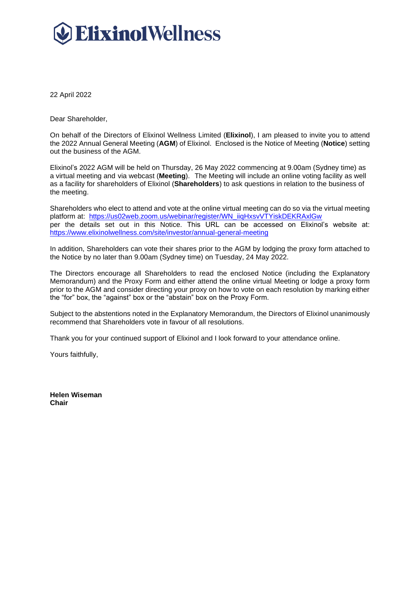# **Elixino1Wellness**

22 April 2022

Dear Shareholder,

On behalf of the Directors of Elixinol Wellness Limited (**Elixinol**), I am pleased to invite you to attend the 2022 Annual General Meeting (**AGM**) of Elixinol. Enclosed is the Notice of Meeting (**Notice**) setting out the business of the AGM.

Elixinol's 2022 AGM will be held on Thursday, 26 May 2022 commencing at 9.00am (Sydney time) as a virtual meeting and via webcast (**Meeting**). The Meeting will include an online voting facility as well as a facility for shareholders of Elixinol (**Shareholders**) to ask questions in relation to the business of the meeting.

Shareholders who elect to attend and vote at the online virtual meeting can do so via the virtual meeting platform at: [https://us02web.zoom.us/webinar/register/WN\\_iiqHxsvVTYiskDEKRAxlGw](https://us02web.zoom.us/webinar/register/WN_iiqHxsvVTYiskDEKRAxlGw) per the details set out in this Notice. This URL can be accessed on Elixinol's website at: <https://www.elixinolwellness.com/site/investor/annual-general-meeting>

In addition, Shareholders can vote their shares prior to the AGM by lodging the proxy form attached to the Notice by no later than 9.00am (Sydney time) on Tuesday, 24 May 2022.

The Directors encourage all Shareholders to read the enclosed Notice (including the Explanatory Memorandum) and the Proxy Form and either attend the online virtual Meeting or lodge a proxy form prior to the AGM and consider directing your proxy on how to vote on each resolution by marking either the "for" box, the "against" box or the "abstain" box on the Proxy Form.

Subject to the abstentions noted in the Explanatory Memorandum, the Directors of Elixinol unanimously recommend that Shareholders vote in favour of all resolutions.

Thank you for your continued support of Elixinol and I look forward to your attendance online.

Yours faithfully,

**Helen Wiseman Chair**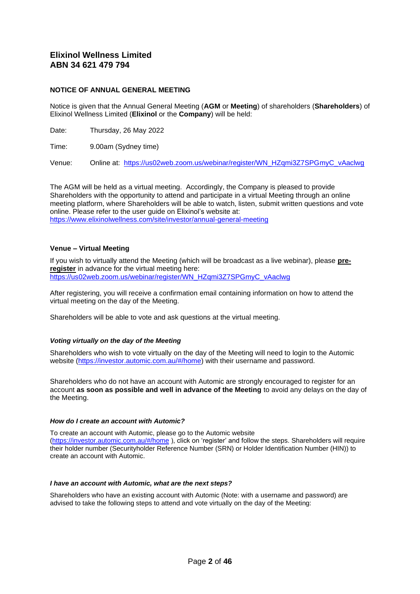## **Elixinol Wellness Limited ABN 34 621 479 794**

#### **NOTICE OF ANNUAL GENERAL MEETING**

Notice is given that the Annual General Meeting (**AGM** or **Meeting**) of shareholders (**Shareholders**) of Elixinol Wellness Limited (**Elixinol** or the **Company**) will be held:

Date: Thursday, 26 May 2022

Time: 9.00am (Sydney time)

Venue: Online at: [https://us02web.zoom.us/webinar/register/WN\\_HZqmi3Z7SPGmyC\\_vAaclwg](https://urldefense.com/v3/__https:/us02web.zoom.us/webinar/register/WN_HZqmi3Z7SPGmyC_vAaclwg__;!!GEb1pAs!Qxze25W-jRCeMfbTTAwW-r74klXE0r43-i-M_45vTX_aM05tZtQRY0MuXmeTmwoUutSbLCNGEj7zZcM$)

The AGM will be held as a virtual meeting. Accordingly, the Company is pleased to provide Shareholders with the opportunity to attend and participate in a virtual Meeting through an online meeting platform, where Shareholders will be able to watch, listen, submit written questions and vote online. Please refer to the user guide on Elixinol's website at: <https://www.elixinolwellness.com/site/investor/annual-general-meeting>

#### **Venue – Virtual Meeting**

If you wish to virtually attend the Meeting (which will be broadcast as a live webinar), please **preregister** in advance for the virtual meeting here: [https://us02web.zoom.us/webinar/register/WN\\_HZqmi3Z7SPGmyC\\_vAaclwg](https://us02web.zoom.us/webinar/register/WN_HZqmi3Z7SPGmyC_vAaclwg)

After registering, you will receive a confirmation email containing information on how to attend the virtual meeting on the day of the Meeting.

Shareholders will be able to vote and ask questions at the virtual meeting.

#### *Voting virtually on the day of the Meeting*

Shareholders who wish to vote virtually on the day of the Meeting will need to login to the Automic website [\(https://investor.automic.com.au/#/home\)](https://urldefense.com/v3/__https:/aus01.safelinks.protection.outlook.com/?url=https*3A*2F*2Finvestor.automic.com.au*2F*23*2Fhome&data=02*7C01*7C*7C1504ff03388b47f1317708d86b2059a8*7C7e4a842150524163990092bf44244322*7C0*7C1*7C637377134015516951&sdata=NWPPZ9*2Bx*2FXrg*2FBibfP268jkT*2BrIKZbPW3uGtt1j7jOQ*3D&reserved=0__;JSUlJSUlJSUlJSUlJSUlJSUl!!GEb1pAs!RiF5neMolgAiIMhzSTBfN4wK_pECtzq8m0AmNNJ0vrXO2kCpBapnYTEz-zG1FzdixR86ZCjzZpsw4Vc$) with their username and password.

Shareholders who do not have an account with Automic are strongly encouraged to register for an account **as soon as possible and well in advance of the Meeting** to avoid any delays on the day of the Meeting.

#### *How do I create an account with Automic?*

To create an account with Automic, please go to the Automic website [\(https://investor.automic.com.au/#/home](https://urldefense.com/v3/__https:/aus01.safelinks.protection.outlook.com/?url=https*3A*2F*2Finvestor.automic.com.au*2F*23*2Fhome&data=02*7C01*7C*7C1504ff03388b47f1317708d86b2059a8*7C7e4a842150524163990092bf44244322*7C0*7C1*7C637377134015526945&sdata=nyv*2FT*2F9*2FWBagO4OfWqtPs58lc22MfdEnzjIRfFmeHmo*3D&reserved=0__;JSUlJSUlJSUlJSUlJSUlJSU!!GEb1pAs!RiF5neMolgAiIMhzSTBfN4wK_pECtzq8m0AmNNJ0vrXO2kCpBapnYTEz-zG1FzdixR86ZCjzK24GxAM$) ), click on 'register' and follow the steps. Shareholders will require their holder number (Securityholder Reference Number (SRN) or Holder Identification Number (HIN)) to create an account with Automic.

#### *I have an account with Automic, what are the next steps?*

Shareholders who have an existing account with Automic (Note: with a username and password) are advised to take the following steps to attend and vote virtually on the day of the Meeting: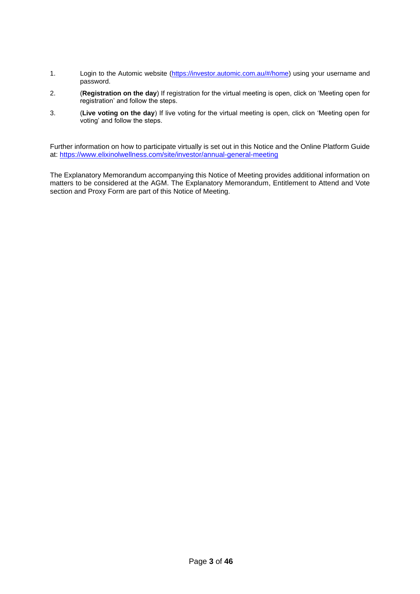- 1. Login to the Automic website [\(https://investor.automic.com.au/#/home\)](https://urldefense.com/v3/__https:/aus01.safelinks.protection.outlook.com/?url=https*3A*2F*2Finvestor.automic.com.au*2F*23*2Fhome&data=02*7C01*7C*7C1504ff03388b47f1317708d86b2059a8*7C7e4a842150524163990092bf44244322*7C0*7C1*7C637377134015526945&sdata=nyv*2FT*2F9*2FWBagO4OfWqtPs58lc22MfdEnzjIRfFmeHmo*3D&reserved=0__;JSUlJSUlJSUlJSUlJSUlJSU!!GEb1pAs!RiF5neMolgAiIMhzSTBfN4wK_pECtzq8m0AmNNJ0vrXO2kCpBapnYTEz-zG1FzdixR86ZCjzK24GxAM$) using your username and password.
- 2. (**Registration on the day**) If registration for the virtual meeting is open, click on 'Meeting open for registration' and follow the steps.
- 3. (**Live voting on the day**) If live voting for the virtual meeting is open, click on 'Meeting open for voting' and follow the steps.

Further information on how to participate virtually is set out in this Notice and the Online Platform Guide at: <https://www.elixinolwellness.com/site/investor/annual-general-meeting>

The Explanatory Memorandum accompanying this Notice of Meeting provides additional information on matters to be considered at the AGM. The Explanatory Memorandum, Entitlement to Attend and Vote section and Proxy Form are part of this Notice of Meeting.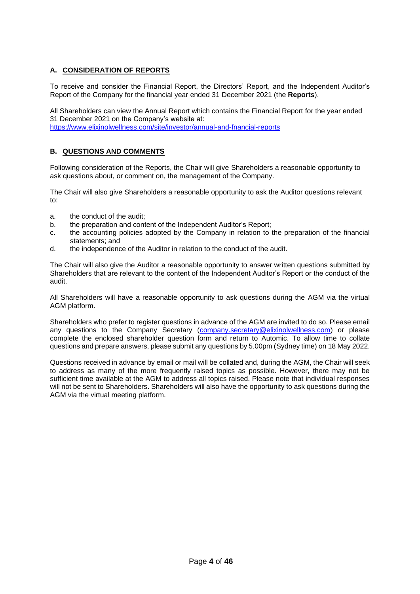## **A. CONSIDERATION OF REPORTS**

To receive and consider the Financial Report, the Directors' Report, and the Independent Auditor's Report of the Company for the financial year ended 31 December 2021 (the **Reports**).

All Shareholders can view the Annual Report which contains the Financial Report for the year ended 31 December 2021 on the Company's website at: <https://www.elixinolwellness.com/site/investor/annual-and-fnancial-reports>

## **B. QUESTIONS AND COMMENTS**

Following consideration of the Reports, the Chair will give Shareholders a reasonable opportunity to ask questions about, or comment on, the management of the Company.

The Chair will also give Shareholders a reasonable opportunity to ask the Auditor questions relevant  $t^{\circ}$ 

- a. the conduct of the audit;
- b. the preparation and content of the Independent Auditor's Report;
- c. the accounting policies adopted by the Company in relation to the preparation of the financial statements; and
- d. the independence of the Auditor in relation to the conduct of the audit.

The Chair will also give the Auditor a reasonable opportunity to answer written questions submitted by Shareholders that are relevant to the content of the Independent Auditor's Report or the conduct of the audit.

All Shareholders will have a reasonable opportunity to ask questions during the AGM via the virtual AGM platform.

Shareholders who prefer to register questions in advance of the AGM are invited to do so. Please email any questions to the Company Secretary [\(company.secretary@elixinolwellness.com\)](mailto:company.secretary@elixinolwellness.com) or please complete the enclosed shareholder question form and return to Automic. To allow time to collate questions and prepare answers, please submit any questions by 5.00pm (Sydney time) on 18 May 2022.

Questions received in advance by email or mail will be collated and, during the AGM, the Chair will seek to address as many of the more frequently raised topics as possible. However, there may not be sufficient time available at the AGM to address all topics raised. Please note that individual responses will not be sent to Shareholders. Shareholders will also have the opportunity to ask questions during the AGM via the virtual meeting platform.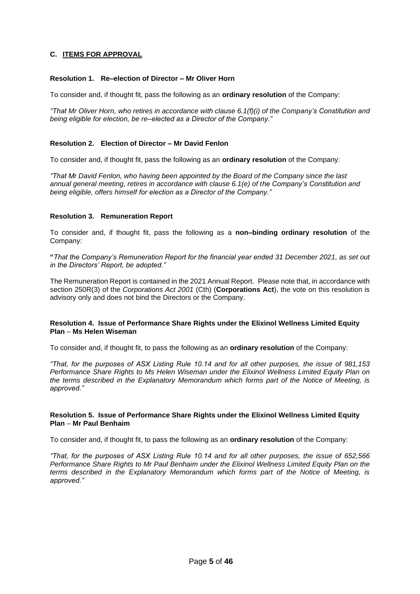## **C. ITEMS FOR APPROVAL**

#### **Resolution 1. Re–election of Director – Mr Oliver Horn**

To consider and, if thought fit, pass the following as an **ordinary resolution** of the Company:

*"That Mr Oliver Horn, who retires in accordance with clause 6.1(f)(i) of the Company's Constitution and being eligible for election, be re–elected as a Director of the Company."*

#### **Resolution 2. Election of Director – Mr David Fenlon**

To consider and, if thought fit, pass the following as an **ordinary resolution** of the Company:

*"That Mr David Fenlon, who having been appointed by the Board of the Company since the last annual general meeting, retires in accordance with clause 6.1(e) of the Company's Constitution and being eligible, offers himself for election as a Director of the Company."*

#### **Resolution 3. Remuneration Report**

To consider and, if thought fit, pass the following as a **non–binding ordinary resolution** of the Company:

**"***That the Company's Remuneration Report for the financial year ended 31 December 2021, as set out in the Directors' Report, be adopted."*

The Remuneration Report is contained in the 2021 Annual Report. Please note that, in accordance with section 250R(3) of the *Corporations Act 2001* (Cth) (**Corporations Act**), the vote on this resolution is advisory only and does not bind the Directors or the Company.

#### **Resolution 4. Issue of Performance Share Rights under the Elixinol Wellness Limited Equity Plan – Ms Helen Wiseman**

To consider and, if thought fit, to pass the following as an **ordinary resolution** of the Company:

*"That, for the purposes of ASX Listing Rule 10.14 and for all other purposes, the issue of 981,153 Performance Share Rights to Ms Helen Wiseman under the Elixinol Wellness Limited Equity Plan on the terms described in the Explanatory Memorandum which forms part of the Notice of Meeting, is approved."*

#### **Resolution 5. Issue of Performance Share Rights under the Elixinol Wellness Limited Equity Plan – Mr Paul Benhaim**

To consider and, if thought fit, to pass the following as an **ordinary resolution** of the Company:

*"That, for the purposes of ASX Listing Rule 10.14 and for all other purposes, the issue of 652,566 Performance Share Rights to Mr Paul Benhaim under the Elixinol Wellness Limited Equity Plan on the terms described in the Explanatory Memorandum which forms part of the Notice of Meeting, is approved."*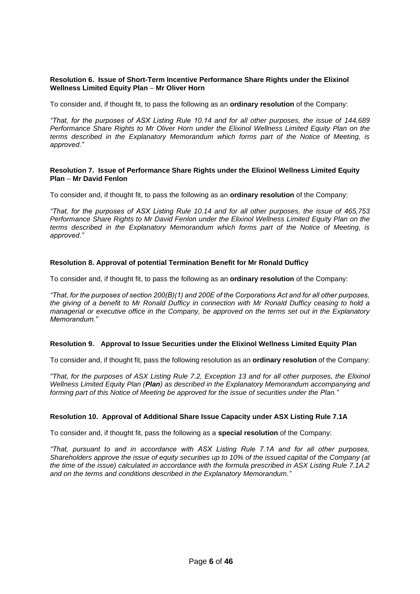#### **Resolution 6. Issue of Short-Term Incentive Performance Share Rights under the Elixinol Wellness Limited Equity Plan – Mr Oliver Horn**

To consider and, if thought fit, to pass the following as an **ordinary resolution** of the Company:

*"That, for the purposes of ASX Listing Rule 10.14 and for all other purposes, the issue of 144,689 Performance Share Rights to Mr Oliver Horn under the Elixinol Wellness Limited Equity Plan on the terms described in the Explanatory Memorandum which forms part of the Notice of Meeting, is approved."*

#### **Resolution 7. Issue of Performance Share Rights under the Elixinol Wellness Limited Equity Plan – Mr David Fenlon**

To consider and, if thought fit, to pass the following as an **ordinary resolution** of the Company:

*"That, for the purposes of ASX Listing Rule 10.14 and for all other purposes, the issue of 465,753 Performance Share Rights to Mr David Fenlon under the Elixinol Wellness Limited Equity Plan on the terms described in the Explanatory Memorandum which forms part of the Notice of Meeting, is approved."*

### **Resolution 8. Approval of potential Termination Benefit for Mr Ronald Dufficy**

To consider and, if thought fit, to pass the following as an **ordinary resolution** of the Company:

*"That, for the purposes of section 200(B)(1) and 200E of the Corporations Act and for all other purposes, the giving of a benefit to Mr Ronald Dufficy in connection with Mr Ronald Dufficy ceasing to hold a managerial or executive office in the Company, be approved on the terms set out in the Explanatory Memorandum."*

### **Resolution 9. Approval to Issue Securities under the Elixinol Wellness Limited Equity Plan**

To consider and, if thought fit, pass the following resolution as an **ordinary resolution** of the Company:

*"That, for the purposes of ASX Listing Rule 7.2, Exception 13 and for all other purposes, the Elixinol Wellness Limited Equity Plan (Plan) as described in the Explanatory Memorandum accompanying and forming part of this Notice of Meeting be approved for the issue of securities under the Plan."*

### **Resolution 10. Approval of Additional Share Issue Capacity under ASX Listing Rule 7.1A**

To consider and, if thought fit, pass the following as a **special resolution** of the Company:

*"That, pursuant to and in accordance with ASX Listing Rule 7.1A and for all other purposes, Shareholders approve the issue of equity securities up to 10% of the issued capital of the Company (at the time of the issue) calculated in accordance with the formula prescribed in ASX Listing Rule 7.1A.2 and on the terms and conditions described in the Explanatory Memorandum."*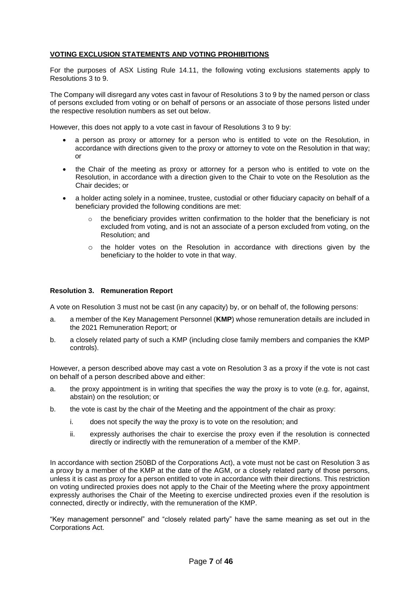## **VOTING EXCLUSION STATEMENTS AND VOTING PROHIBITIONS**

For the purposes of ASX Listing Rule 14.11, the following voting exclusions statements apply to Resolutions 3 to 9.

The Company will disregard any votes cast in favour of Resolutions 3 to 9 by the named person or class of persons excluded from voting or on behalf of persons or an associate of those persons listed under the respective resolution numbers as set out below.

However, this does not apply to a vote cast in favour of Resolutions 3 to 9 by:

- a person as proxy or attorney for a person who is entitled to vote on the Resolution, in accordance with directions given to the proxy or attorney to vote on the Resolution in that way; or
- the Chair of the meeting as proxy or attorney for a person who is entitled to vote on the Resolution, in accordance with a direction given to the Chair to vote on the Resolution as the Chair decides; or
- a holder acting solely in a nominee, trustee, custodial or other fiduciary capacity on behalf of a beneficiary provided the following conditions are met:
	- $\circ$  the beneficiary provides written confirmation to the holder that the beneficiary is not excluded from voting, and is not an associate of a person excluded from voting, on the Resolution; and
	- o the holder votes on the Resolution in accordance with directions given by the beneficiary to the holder to vote in that way.

#### **Resolution 3. Remuneration Report**

A vote on Resolution 3 must not be cast (in any capacity) by, or on behalf of, the following persons:

- a. a member of the Key Management Personnel (**KMP**) whose remuneration details are included in the 2021 Remuneration Report; or
- b. a closely related party of such a KMP (including close family members and companies the KMP controls).

However, a person described above may cast a vote on Resolution 3 as a proxy if the vote is not cast on behalf of a person described above and either:

- a. the proxy appointment is in writing that specifies the way the proxy is to vote (e.g. for, against, abstain) on the resolution; or
- b. the vote is cast by the chair of the Meeting and the appointment of the chair as proxy:
	- i. does not specify the way the proxy is to vote on the resolution; and
	- ii. expressly authorises the chair to exercise the proxy even if the resolution is connected directly or indirectly with the remuneration of a member of the KMP.

In accordance with section 250BD of the Corporations Act), a vote must not be cast on Resolution 3 as a proxy by a member of the KMP at the date of the AGM, or a closely related party of those persons, unless it is cast as proxy for a person entitled to vote in accordance with their directions. This restriction on voting undirected proxies does not apply to the Chair of the Meeting where the proxy appointment expressly authorises the Chair of the Meeting to exercise undirected proxies even if the resolution is connected, directly or indirectly, with the remuneration of the KMP.

"Key management personnel" and "closely related party" have the same meaning as set out in the Corporations Act.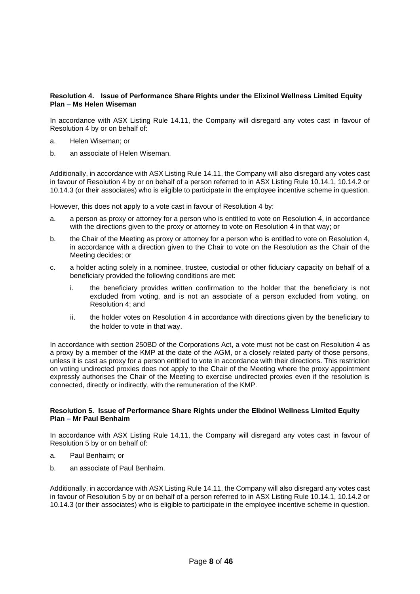### **Resolution 4. Issue of Performance Share Rights under the Elixinol Wellness Limited Equity Plan – Ms Helen Wiseman**

In accordance with ASX Listing Rule 14.11, the Company will disregard any votes cast in favour of Resolution 4 by or on behalf of:

- a. Helen Wiseman; or
- b. an associate of Helen Wiseman.

Additionally, in accordance with ASX Listing Rule 14.11, the Company will also disregard any votes cast in favour of Resolution 4 by or on behalf of a person referred to in ASX Listing Rule 10.14.1, 10.14.2 or 10.14.3 (or their associates) who is eligible to participate in the employee incentive scheme in question.

However, this does not apply to a vote cast in favour of Resolution 4 by:

- a. a person as proxy or attorney for a person who is entitled to vote on Resolution 4, in accordance with the directions given to the proxy or attorney to vote on Resolution 4 in that way; or
- b. the Chair of the Meeting as proxy or attorney for a person who is entitled to vote on Resolution 4, in accordance with a direction given to the Chair to vote on the Resolution as the Chair of the Meeting decides; or
- c. a holder acting solely in a nominee, trustee, custodial or other fiduciary capacity on behalf of a beneficiary provided the following conditions are met:
	- i. the beneficiary provides written confirmation to the holder that the beneficiary is not excluded from voting, and is not an associate of a person excluded from voting, on Resolution 4; and
	- ii. the holder votes on Resolution 4 in accordance with directions given by the beneficiary to the holder to vote in that way.

In accordance with section 250BD of the Corporations Act, a vote must not be cast on Resolution 4 as a proxy by a member of the KMP at the date of the AGM, or a closely related party of those persons, unless it is cast as proxy for a person entitled to vote in accordance with their directions. This restriction on voting undirected proxies does not apply to the Chair of the Meeting where the proxy appointment expressly authorises the Chair of the Meeting to exercise undirected proxies even if the resolution is connected, directly or indirectly, with the remuneration of the KMP.

#### **Resolution 5. Issue of Performance Share Rights under the Elixinol Wellness Limited Equity Plan – Mr Paul Benhaim**

In accordance with ASX Listing Rule 14.11, the Company will disregard any votes cast in favour of Resolution 5 by or on behalf of:

- a. Paul Benhaim; or
- b. an associate of Paul Benhaim.

Additionally, in accordance with ASX Listing Rule 14.11, the Company will also disregard any votes cast in favour of Resolution 5 by or on behalf of a person referred to in ASX Listing Rule 10.14.1, 10.14.2 or 10.14.3 (or their associates) who is eligible to participate in the employee incentive scheme in question.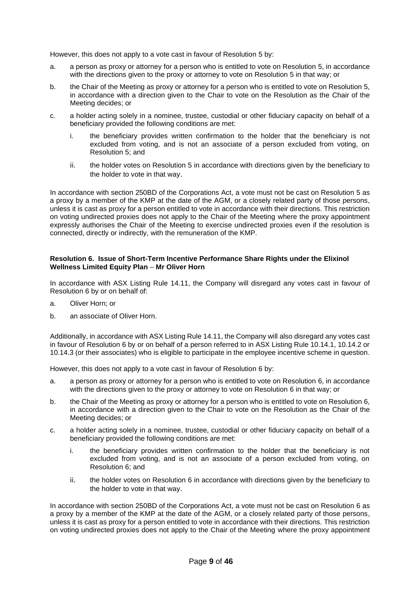However, this does not apply to a vote cast in favour of Resolution 5 by:

- a. a person as proxy or attorney for a person who is entitled to vote on Resolution 5, in accordance with the directions given to the proxy or attorney to vote on Resolution 5 in that way; or
- b. the Chair of the Meeting as proxy or attorney for a person who is entitled to vote on Resolution 5, in accordance with a direction given to the Chair to vote on the Resolution as the Chair of the Meeting decides; or
- c. a holder acting solely in a nominee, trustee, custodial or other fiduciary capacity on behalf of a beneficiary provided the following conditions are met:
	- i. the beneficiary provides written confirmation to the holder that the beneficiary is not excluded from voting, and is not an associate of a person excluded from voting, on Resolution 5; and
	- ii. the holder votes on Resolution 5 in accordance with directions given by the beneficiary to the holder to vote in that way.

In accordance with section 250BD of the Corporations Act, a vote must not be cast on Resolution 5 as a proxy by a member of the KMP at the date of the AGM, or a closely related party of those persons, unless it is cast as proxy for a person entitled to vote in accordance with their directions. This restriction on voting undirected proxies does not apply to the Chair of the Meeting where the proxy appointment expressly authorises the Chair of the Meeting to exercise undirected proxies even if the resolution is connected, directly or indirectly, with the remuneration of the KMP.

#### **Resolution 6. Issue of Short-Term Incentive Performance Share Rights under the Elixinol Wellness Limited Equity Plan – Mr Oliver Horn**

In accordance with ASX Listing Rule 14.11, the Company will disregard any votes cast in favour of Resolution 6 by or on behalf of:

- a. Oliver Horn; or
- b. an associate of Oliver Horn.

Additionally, in accordance with ASX Listing Rule 14.11, the Company will also disregard any votes cast in favour of Resolution 6 by or on behalf of a person referred to in ASX Listing Rule 10.14.1, 10.14.2 or 10.14.3 (or their associates) who is eligible to participate in the employee incentive scheme in question.

However, this does not apply to a vote cast in favour of Resolution 6 by:

- a. a person as proxy or attorney for a person who is entitled to vote on Resolution 6, in accordance with the directions given to the proxy or attorney to vote on Resolution 6 in that way; or
- b. the Chair of the Meeting as proxy or attorney for a person who is entitled to vote on Resolution 6, in accordance with a direction given to the Chair to vote on the Resolution as the Chair of the Meeting decides; or
- c. a holder acting solely in a nominee, trustee, custodial or other fiduciary capacity on behalf of a beneficiary provided the following conditions are met:
	- i. the beneficiary provides written confirmation to the holder that the beneficiary is not excluded from voting, and is not an associate of a person excluded from voting, on Resolution 6; and
	- ii. the holder votes on Resolution 6 in accordance with directions given by the beneficiary to the holder to vote in that way.

In accordance with section 250BD of the Corporations Act, a vote must not be cast on Resolution 6 as a proxy by a member of the KMP at the date of the AGM, or a closely related party of those persons, unless it is cast as proxy for a person entitled to vote in accordance with their directions. This restriction on voting undirected proxies does not apply to the Chair of the Meeting where the proxy appointment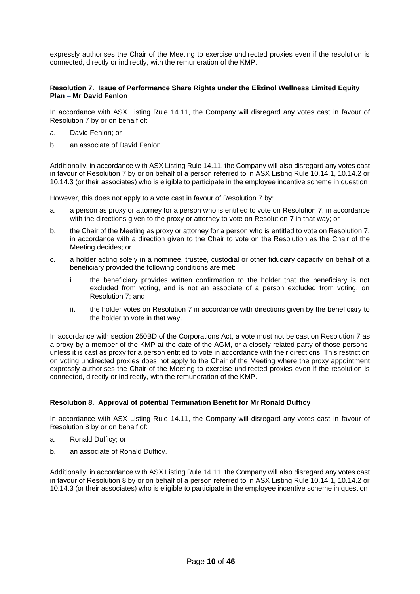expressly authorises the Chair of the Meeting to exercise undirected proxies even if the resolution is connected, directly or indirectly, with the remuneration of the KMP.

#### **Resolution 7. Issue of Performance Share Rights under the Elixinol Wellness Limited Equity Plan – Mr David Fenlon**

In accordance with ASX Listing Rule 14.11, the Company will disregard any votes cast in favour of Resolution 7 by or on behalf of:

- a. David Fenlon; or
- b. an associate of David Fenlon.

Additionally, in accordance with ASX Listing Rule 14.11, the Company will also disregard any votes cast in favour of Resolution 7 by or on behalf of a person referred to in ASX Listing Rule 10.14.1, 10.14.2 or 10.14.3 (or their associates) who is eligible to participate in the employee incentive scheme in question.

However, this does not apply to a vote cast in favour of Resolution 7 by:

- a. a person as proxy or attorney for a person who is entitled to vote on Resolution 7, in accordance with the directions given to the proxy or attorney to vote on Resolution 7 in that way; or
- b. the Chair of the Meeting as proxy or attorney for a person who is entitled to vote on Resolution 7, in accordance with a direction given to the Chair to vote on the Resolution as the Chair of the Meeting decides; or
- c. a holder acting solely in a nominee, trustee, custodial or other fiduciary capacity on behalf of a beneficiary provided the following conditions are met:
	- i. the beneficiary provides written confirmation to the holder that the beneficiary is not excluded from voting, and is not an associate of a person excluded from voting, on Resolution 7; and
	- ii. the holder votes on Resolution 7 in accordance with directions given by the beneficiary to the holder to vote in that way.

In accordance with section 250BD of the Corporations Act, a vote must not be cast on Resolution 7 as a proxy by a member of the KMP at the date of the AGM, or a closely related party of those persons, unless it is cast as proxy for a person entitled to vote in accordance with their directions. This restriction on voting undirected proxies does not apply to the Chair of the Meeting where the proxy appointment expressly authorises the Chair of the Meeting to exercise undirected proxies even if the resolution is connected, directly or indirectly, with the remuneration of the KMP.

### **Resolution 8. Approval of potential Termination Benefit for Mr Ronald Dufficy**

In accordance with ASX Listing Rule 14.11, the Company will disregard any votes cast in favour of Resolution 8 by or on behalf of:

- a. Ronald Dufficy; or
- b. an associate of Ronald Dufficy.

Additionally, in accordance with ASX Listing Rule 14.11, the Company will also disregard any votes cast in favour of Resolution 8 by or on behalf of a person referred to in ASX Listing Rule 10.14.1, 10.14.2 or 10.14.3 (or their associates) who is eligible to participate in the employee incentive scheme in question.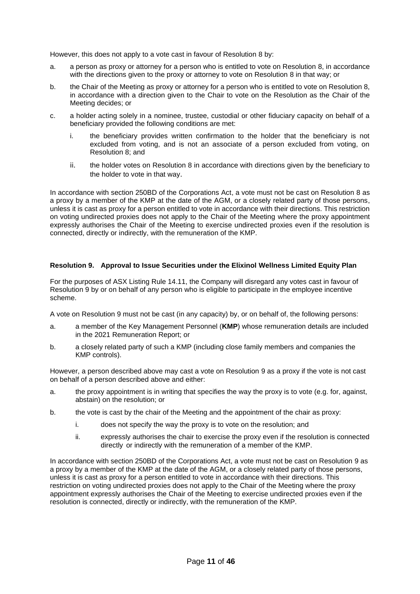However, this does not apply to a vote cast in favour of Resolution 8 by:

- a. a person as proxy or attorney for a person who is entitled to vote on Resolution 8, in accordance with the directions given to the proxy or attorney to vote on Resolution 8 in that way; or
- b. the Chair of the Meeting as proxy or attorney for a person who is entitled to vote on Resolution 8, in accordance with a direction given to the Chair to vote on the Resolution as the Chair of the Meeting decides; or
- c. a holder acting solely in a nominee, trustee, custodial or other fiduciary capacity on behalf of a beneficiary provided the following conditions are met:
	- i. the beneficiary provides written confirmation to the holder that the beneficiary is not excluded from voting, and is not an associate of a person excluded from voting, on Resolution 8; and
	- ii. the holder votes on Resolution 8 in accordance with directions given by the beneficiary to the holder to vote in that way.

In accordance with section 250BD of the Corporations Act, a vote must not be cast on Resolution 8 as a proxy by a member of the KMP at the date of the AGM, or a closely related party of those persons, unless it is cast as proxy for a person entitled to vote in accordance with their directions. This restriction on voting undirected proxies does not apply to the Chair of the Meeting where the proxy appointment expressly authorises the Chair of the Meeting to exercise undirected proxies even if the resolution is connected, directly or indirectly, with the remuneration of the KMP.

### **Resolution 9. Approval to Issue Securities under the Elixinol Wellness Limited Equity Plan**

For the purposes of ASX Listing Rule 14.11, the Company will disregard any votes cast in favour of Resolution 9 by or on behalf of any person who is eligible to participate in the employee incentive scheme.

A vote on Resolution 9 must not be cast (in any capacity) by, or on behalf of, the following persons:

- a. a member of the Key Management Personnel (**KMP**) whose remuneration details are included in the 2021 Remuneration Report; or
- b. a closely related party of such a KMP (including close family members and companies the KMP controls).

However, a person described above may cast a vote on Resolution 9 as a proxy if the vote is not cast on behalf of a person described above and either:

- a. the proxy appointment is in writing that specifies the way the proxy is to vote (e.g. for, against, abstain) on the resolution; or
- b. the vote is cast by the chair of the Meeting and the appointment of the chair as proxy:
	- i. does not specify the way the proxy is to vote on the resolution; and
	- ii. expressly authorises the chair to exercise the proxy even if the resolution is connected directly or indirectly with the remuneration of a member of the KMP.

In accordance with section 250BD of the Corporations Act, a vote must not be cast on Resolution 9 as a proxy by a member of the KMP at the date of the AGM, or a closely related party of those persons, unless it is cast as proxy for a person entitled to vote in accordance with their directions. This restriction on voting undirected proxies does not apply to the Chair of the Meeting where the proxy appointment expressly authorises the Chair of the Meeting to exercise undirected proxies even if the resolution is connected, directly or indirectly, with the remuneration of the KMP.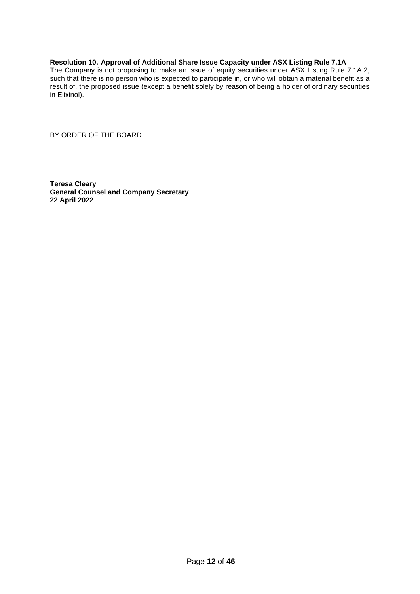## **Resolution 10. Approval of Additional Share Issue Capacity under ASX Listing Rule 7.1A**

The Company is not proposing to make an issue of equity securities under ASX Listing Rule 7.1A.2, such that there is no person who is expected to participate in, or who will obtain a material benefit as a result of, the proposed issue (except a benefit solely by reason of being a holder of ordinary securities in Elixinol).

BY ORDER OF THE BOARD

**Teresa Cleary General Counsel and Company Secretary 22 April 2022**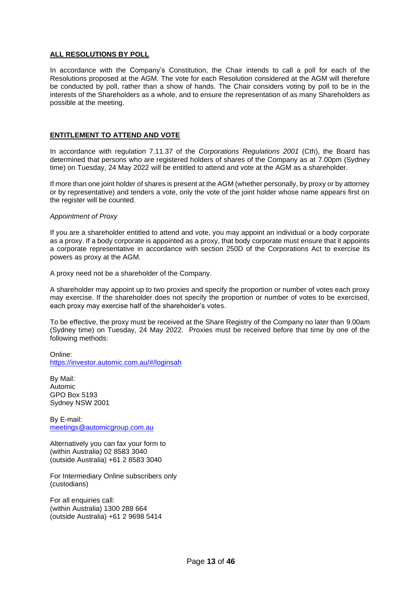### **ALL RESOLUTIONS BY POLL**

In accordance with the Company's Constitution, the Chair intends to call a poll for each of the Resolutions proposed at the AGM. The vote for each Resolution considered at the AGM will therefore be conducted by poll, rather than a show of hands. The Chair considers voting by poll to be in the interests of the Shareholders as a whole, and to ensure the representation of as many Shareholders as possible at the meeting.

#### **ENTITLEMENT TO ATTEND AND VOTE**

In accordance with regulation 7.11.37 of the *Corporations Regulations 2001* (Cth), the Board has determined that persons who are registered holders of shares of the Company as at 7.00pm (Sydney time) on Tuesday, 24 May 2022 will be entitled to attend and vote at the AGM as a shareholder.

If more than one joint holder of shares is present at the AGM (whether personally, by proxy or by attorney or by representative) and tenders a vote, only the vote of the joint holder whose name appears first on the register will be counted.

#### *Appointment of Proxy*

If you are a shareholder entitled to attend and vote, you may appoint an individual or a body corporate as a proxy. If a body corporate is appointed as a proxy, that body corporate must ensure that it appoints a corporate representative in accordance with section 250D of the Corporations Act to exercise its powers as proxy at the AGM.

A proxy need not be a shareholder of the Company.

A shareholder may appoint up to two proxies and specify the proportion or number of votes each proxy may exercise. If the shareholder does not specify the proportion or number of votes to be exercised, each proxy may exercise half of the shareholder's votes.

To be effective, the proxy must be received at the Share Registry of the Company no later than 9.00am (Sydney time) on Tuesday, 24 May 2022*.* Proxies must be received before that time by one of the following methods:

Online: <https://investor.automic.com.au/#/loginsah>

By Mail: Automic GPO Box 5193 Sydney NSW 2001

By E-mail: [meetings@automicgroup.com.au](mailto:meetings@automicgroup.com.au)

Alternatively you can fax your form to (within Australia) 02 8583 3040 (outside Australia) +61 2 8583 3040

For Intermediary Online subscribers only (custodians)

For all enquiries call: (within Australia) 1300 288 664 (outside Australia) +61 2 9698 5414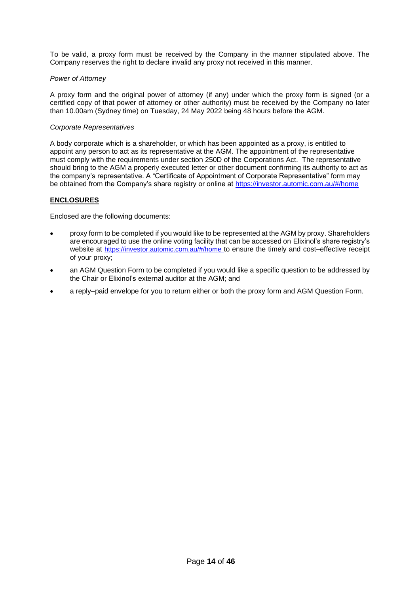To be valid, a proxy form must be received by the Company in the manner stipulated above. The Company reserves the right to declare invalid any proxy not received in this manner.

#### *Power of Attorney*

A proxy form and the original power of attorney (if any) under which the proxy form is signed (or a certified copy of that power of attorney or other authority) must be received by the Company no later than 10.00am (Sydney time) on Tuesday, 24 May 2022 being 48 hours before the AGM.

#### *Corporate Representatives*

A body corporate which is a shareholder, or which has been appointed as a proxy, is entitled to appoint any person to act as its representative at the AGM. The appointment of the representative must comply with the requirements under section 250D of the Corporations Act. The representative should bring to the AGM a properly executed letter or other document confirming its authority to act as the company's representative. A "Certificate of Appointment of Corporate Representative" form may be obtained from the Company's share registry or online at<https://investor.automic.com.au/#/home>

### **ENCLOSURES**

Enclosed are the following documents:

- proxy form to be completed if you would like to be represented at the AGM by proxy. Shareholders are encouraged to use the online voting facility that can be accessed on Elixinol's share registry's website at [https://investor.automic.com.au/#/home](https://urldefense.com/v3/__https:/aus01.safelinks.protection.outlook.com/?url=https*3A*2F*2Finvestor.automic.com.au*2F*23*2Fhome&data=02*7C01*7C*7C1504ff03388b47f1317708d86b2059a8*7C7e4a842150524163990092bf44244322*7C0*7C1*7C637377134015516951&sdata=NWPPZ9*2Bx*2FXrg*2FBibfP268jkT*2BrIKZbPW3uGtt1j7jOQ*3D&reserved=0__;JSUlJSUlJSUlJSUlJSUlJSUl!!GEb1pAs!RiF5neMolgAiIMhzSTBfN4wK_pECtzq8m0AmNNJ0vrXO2kCpBapnYTEz-zG1FzdixR86ZCjzZpsw4Vc$) to ensure the timely and cost–effective receipt of your proxy;
- an AGM Question Form to be completed if you would like a specific question to be addressed by the Chair or Elixinol's external auditor at the AGM; and
- a reply–paid envelope for you to return either or both the proxy form and AGM Question Form.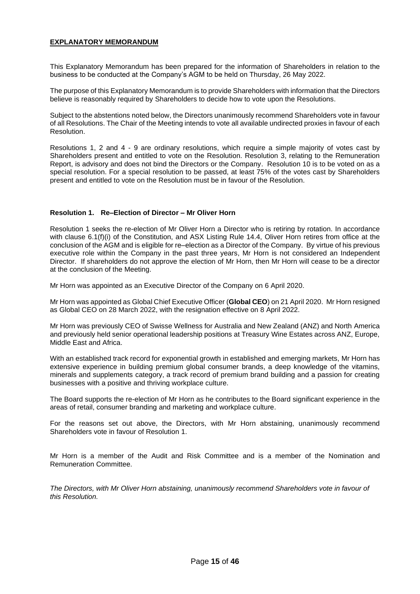### **EXPLANATORY MEMORANDUM**

This Explanatory Memorandum has been prepared for the information of Shareholders in relation to the business to be conducted at the Company's AGM to be held on Thursday, 26 May 2022.

The purpose of this Explanatory Memorandum is to provide Shareholders with information that the Directors believe is reasonably required by Shareholders to decide how to vote upon the Resolutions.

Subject to the abstentions noted below, the Directors unanimously recommend Shareholders vote in favour of all Resolutions. The Chair of the Meeting intends to vote all available undirected proxies in favour of each Resolution.

Resolutions 1, 2 and 4 - 9 are ordinary resolutions, which require a simple majority of votes cast by Shareholders present and entitled to vote on the Resolution. Resolution 3, relating to the Remuneration Report, is advisory and does not bind the Directors or the Company. Resolution 10 is to be voted on as a special resolution. For a special resolution to be passed, at least 75% of the votes cast by Shareholders present and entitled to vote on the Resolution must be in favour of the Resolution.

#### **Resolution 1. Re–Election of Director – Mr Oliver Horn**

Resolution 1 seeks the re-election of Mr Oliver Horn a Director who is retiring by rotation. In accordance with clause 6.1(f)(i) of the Constitution, and ASX Listing Rule 14.4, Oliver Horn retires from office at the conclusion of the AGM and is eligible for re–election as a Director of the Company. By virtue of his previous executive role within the Company in the past three years, Mr Horn is not considered an Independent Director. If shareholders do not approve the election of Mr Horn, then Mr Horn will cease to be a director at the conclusion of the Meeting.

Mr Horn was appointed as an Executive Director of the Company on 6 April 2020.

Mr Horn was appointed as Global Chief Executive Officer (**Global CEO**) on 21 April 2020. Mr Horn resigned as Global CEO on 28 March 2022, with the resignation effective on 8 April 2022.

Mr Horn was previously CEO of Swisse Wellness for Australia and New Zealand (ANZ) and North America and previously held senior operational leadership positions at Treasury Wine Estates across ANZ, Europe, Middle East and Africa.

With an established track record for exponential growth in established and emerging markets, Mr Horn has extensive experience in building premium global consumer brands, a deep knowledge of the vitamins, minerals and supplements category, a track record of premium brand building and a passion for creating businesses with a positive and thriving workplace culture.

The Board supports the re-election of Mr Horn as he contributes to the Board significant experience in the areas of retail, consumer branding and marketing and workplace culture.

For the reasons set out above, the Directors, with Mr Horn abstaining, unanimously recommend Shareholders vote in favour of Resolution 1.

Mr Horn is a member of the Audit and Risk Committee and is a member of the Nomination and Remuneration Committee.

*The Directors, with Mr Oliver Horn abstaining, unanimously recommend Shareholders vote in favour of this Resolution.*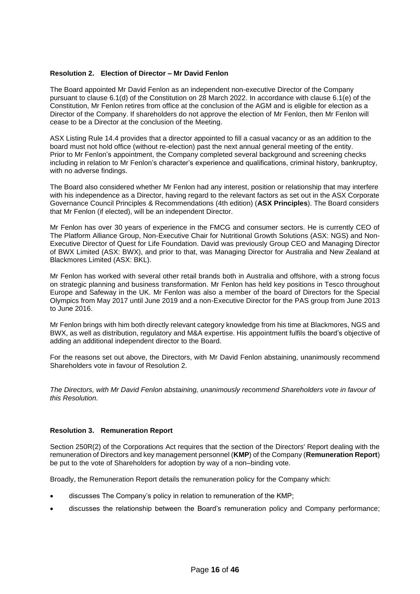#### **Resolution 2. Election of Director – Mr David Fenlon**

The Board appointed Mr David Fenlon as an independent non-executive Director of the Company pursuant to clause 6.1(d) of the Constitution on 28 March 2022. In accordance with clause 6.1(e) of the Constitution, Mr Fenlon retires from office at the conclusion of the AGM and is eligible for election as a Director of the Company. If shareholders do not approve the election of Mr Fenlon, then Mr Fenlon will cease to be a Director at the conclusion of the Meeting.

ASX Listing Rule 14.4 provides that a director appointed to fill a casual vacancy or as an addition to the board must not hold office (without re-election) past the next annual general meeting of the entity. Prior to Mr Fenlon's appointment, the Company completed several background and screening checks including in relation to Mr Fenlon's character's experience and qualifications, criminal history, bankruptcy, with no adverse findings.

The Board also considered whether Mr Fenlon had any interest, position or relationship that may interfere with his independence as a Director, having regard to the relevant factors as set out in the ASX Corporate Governance Council Principles & Recommendations (4th edition) (**ASX Principles**). The Board considers that Mr Fenlon (if elected), will be an independent Director.

Mr Fenlon has over 30 years of experience in the FMCG and consumer sectors. He is currently CEO of The Platform Alliance Group, Non-Executive Chair for Nutritional Growth Solutions (ASX: NGS) and Non-Executive Director of Quest for Life Foundation. David was previously Group CEO and Managing Director of BWX Limited (ASX: BWX), and prior to that, was Managing Director for Australia and New Zealand at Blackmores Limited (ASX: BKL).

Mr Fenlon has worked with several other retail brands both in Australia and offshore, with a strong focus on strategic planning and business transformation. Mr Fenlon has held key positions in Tesco throughout Europe and Safeway in the UK. Mr Fenlon was also a member of the board of Directors for the Special Olympics from May 2017 until June 2019 and a non-Executive Director for the PAS group from June 2013 to June 2016.

Mr Fenlon brings with him both directly relevant category knowledge from his time at Blackmores, NGS and BWX, as well as distribution, regulatory and M&A expertise. His appointment fulfils the board's objective of adding an additional independent director to the Board.

For the reasons set out above, the Directors, with Mr David Fenlon abstaining, unanimously recommend Shareholders vote in favour of Resolution 2.

*The Directors, with Mr David Fenlon abstaining, unanimously recommend Shareholders vote in favour of this Resolution.*

#### **Resolution 3. Remuneration Report**

Section 250R(2) of the Corporations Act requires that the section of the Directors' Report dealing with the remuneration of Directors and key management personnel (**KMP**) of the Company (**Remuneration Report**) be put to the vote of Shareholders for adoption by way of a non–binding vote.

Broadly, the Remuneration Report details the remuneration policy for the Company which:

- discusses The Company's policy in relation to remuneration of the KMP;
- discusses the relationship between the Board's remuneration policy and Company performance;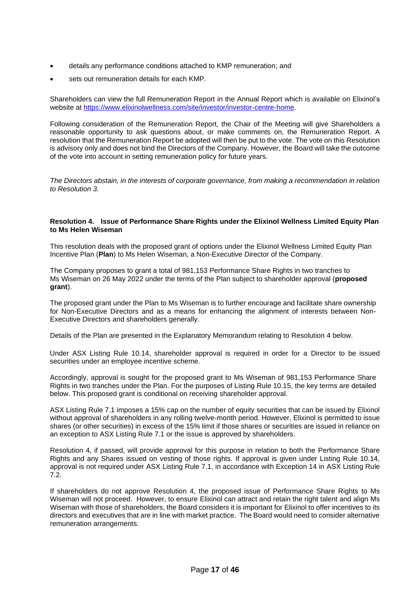- details any performance conditions attached to KMP remuneration; and
- sets out remuneration details for each KMP.

Shareholders can view the full Remuneration Report in the Annual Report which is available on Elixinol's website at<https://www.elixinolwellness.com/site/investor/investor-centre-home>.

Following consideration of the Remuneration Report, the Chair of the Meeting will give Shareholders a reasonable opportunity to ask questions about, or make comments on, the Remuneration Report. A resolution that the Remuneration Report be adopted will then be put to the vote. The vote on this Resolution is advisory only and does not bind the Directors of the Company. However, the Board will take the outcome of the vote into account in setting remuneration policy for future years.

*The Directors abstain, in the interests of corporate governance, from making a recommendation in relation to Resolution 3.*

#### **Resolution 4. Issue of Performance Share Rights under the Elixinol Wellness Limited Equity Plan to Ms Helen Wiseman**

This resolution deals with the proposed grant of options under the Elixinol Wellness Limited Equity Plan Incentive Plan (**Plan**) to Ms Helen Wiseman, a Non-Executive Director of the Company.

The Company proposes to grant a total of 981,153 Performance Share Rights in two tranches to Ms Wiseman on 26 May 2022 under the terms of the Plan subject to shareholder approval (**proposed grant**).

The proposed grant under the Plan to Ms Wiseman is to further encourage and facilitate share ownership for Non-Executive Directors and as a means for enhancing the alignment of interests between Non-Executive Directors and shareholders generally.

Details of the Plan are presented in the Explanatory Memorandum relating to Resolution 4 below.

Under ASX Listing Rule 10.14, shareholder approval is required in order for a Director to be issued securities under an employee incentive scheme.

Accordingly, approval is sought for the proposed grant to Ms Wiseman of 981,153 Performance Share Rights in two tranches under the Plan. For the purposes of Listing Rule 10.15, the key terms are detailed below. This proposed grant is conditional on receiving shareholder approval.

ASX Listing Rule 7.1 imposes a 15% cap on the number of equity securities that can be issued by Elixinol without approval of shareholders in any rolling twelve-month period. However, Elixinol is permitted to issue shares (or other securities) in excess of the 15% limit if those shares or securities are issued in reliance on an exception to ASX Listing Rule 7.1 or the issue is approved by shareholders.

Resolution 4, if passed, will provide approval for this purpose in relation to both the Performance Share Rights and any Shares issued on vesting of those rights. If approval is given under Listing Rule 10.14, approval is not required under ASX Listing Rule 7.1, in accordance with Exception 14 in ASX Listing Rule 7.2.

If shareholders do not approve Resolution 4, the proposed issue of Performance Share Rights to Ms Wiseman will not proceed. However, to ensure Elixinol can attract and retain the right talent and align Ms Wiseman with those of shareholders, the Board considers it is important for Elixinol to offer incentives to its directors and executives that are in line with market practice. The Board would need to consider alternative remuneration arrangements.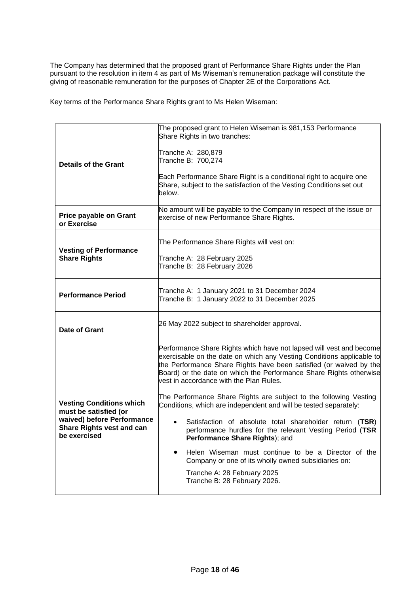The Company has determined that the proposed grant of Performance Share Rights under the Plan pursuant to the resolution in item 4 as part of Ms Wiseman's remuneration package will constitute the giving of reasonable remuneration for the purposes of Chapter 2E of the Corporations Act.

Key terms of the Performance Share Rights grant to Ms Helen Wiseman:

| <b>Details of the Grant</b>                                                                                                                | The proposed grant to Helen Wiseman is 981,153 Performance<br>Share Rights in two tranches:<br>Tranche A: 280,879<br>Tranche B: 700,274<br>Each Performance Share Right is a conditional right to acquire one<br>Share, subject to the satisfaction of the Vesting Conditions set out<br>below.                                                                                                                                                                                                                                                                                                                                                                                                                                                                                                                    |  |  |
|--------------------------------------------------------------------------------------------------------------------------------------------|--------------------------------------------------------------------------------------------------------------------------------------------------------------------------------------------------------------------------------------------------------------------------------------------------------------------------------------------------------------------------------------------------------------------------------------------------------------------------------------------------------------------------------------------------------------------------------------------------------------------------------------------------------------------------------------------------------------------------------------------------------------------------------------------------------------------|--|--|
| <b>Price payable on Grant</b><br>or Exercise                                                                                               | No amount will be payable to the Company in respect of the issue or<br>exercise of new Performance Share Rights.                                                                                                                                                                                                                                                                                                                                                                                                                                                                                                                                                                                                                                                                                                   |  |  |
| <b>Vesting of Performance</b><br><b>Share Rights</b>                                                                                       | The Performance Share Rights will vest on:<br>Tranche A: 28 February 2025<br>Tranche B: 28 February 2026                                                                                                                                                                                                                                                                                                                                                                                                                                                                                                                                                                                                                                                                                                           |  |  |
| <b>Performance Period</b>                                                                                                                  | Tranche A: 1 January 2021 to 31 December 2024<br>Tranche B: 1 January 2022 to 31 December 2025                                                                                                                                                                                                                                                                                                                                                                                                                                                                                                                                                                                                                                                                                                                     |  |  |
| Date of Grant                                                                                                                              | 26 May 2022 subject to shareholder approval.                                                                                                                                                                                                                                                                                                                                                                                                                                                                                                                                                                                                                                                                                                                                                                       |  |  |
| <b>Vesting Conditions which</b><br>must be satisfied (or<br>waived) before Performance<br><b>Share Rights vest and can</b><br>be exercised | Performance Share Rights which have not lapsed will vest and become<br>exercisable on the date on which any Vesting Conditions applicable to<br>the Performance Share Rights have been satisfied (or waived by the<br>Board) or the date on which the Performance Share Rights otherwise<br>vest in accordance with the Plan Rules.<br>The Performance Share Rights are subject to the following Vesting<br>Conditions, which are independent and will be tested separately:<br>Satisfaction of absolute total shareholder return (TSR)<br>performance hurdles for the relevant Vesting Period (TSR<br>Performance Share Rights); and<br>Helen Wiseman must continue to be a Director of the<br>Company or one of its wholly owned subsidiaries on:<br>Tranche A: 28 February 2025<br>Tranche B: 28 February 2026. |  |  |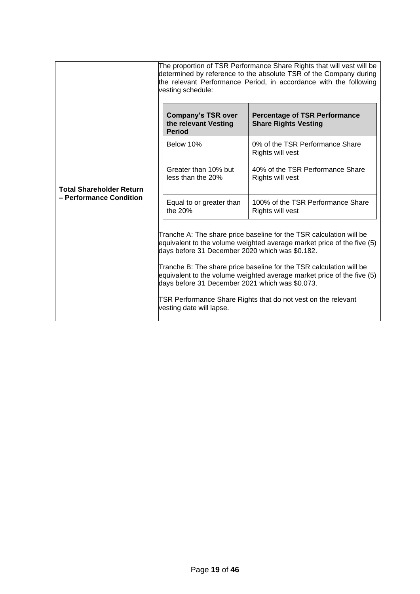|                                                            | The proportion of TSR Performance Share Rights that will vest will be<br>determined by reference to the absolute TSR of the Company during<br>the relevant Performance Period, in accordance with the following<br>vesting schedule: |                                                                                                                                                                                                                                                                                                                                                                 |  |
|------------------------------------------------------------|--------------------------------------------------------------------------------------------------------------------------------------------------------------------------------------------------------------------------------------|-----------------------------------------------------------------------------------------------------------------------------------------------------------------------------------------------------------------------------------------------------------------------------------------------------------------------------------------------------------------|--|
| <b>Total Shareholder Return</b><br>- Performance Condition | <b>Company's TSR over</b><br>the relevant Vesting<br><b>Period</b>                                                                                                                                                                   | <b>Percentage of TSR Performance</b><br><b>Share Rights Vesting</b>                                                                                                                                                                                                                                                                                             |  |
|                                                            | Below 10%                                                                                                                                                                                                                            | 0% of the TSR Performance Share<br>Rights will vest                                                                                                                                                                                                                                                                                                             |  |
|                                                            | Greater than 10% but<br>less than the 20%                                                                                                                                                                                            | 40% of the TSR Performance Share<br>Rights will vest                                                                                                                                                                                                                                                                                                            |  |
|                                                            | Equal to or greater than<br>the 20%                                                                                                                                                                                                  | 100% of the TSR Performance Share<br>Rights will vest                                                                                                                                                                                                                                                                                                           |  |
|                                                            | days before 31 December 2020 which was \$0.182.<br>days before 31 December 2021 which was \$0.073.<br>vesting date will lapse.                                                                                                       | Tranche A: The share price baseline for the TSR calculation will be<br>equivalent to the volume weighted average market price of the five (5)<br>Tranche B: The share price baseline for the TSR calculation will be<br>equivalent to the volume weighted average market price of the five (5)<br>TSR Performance Share Rights that do not vest on the relevant |  |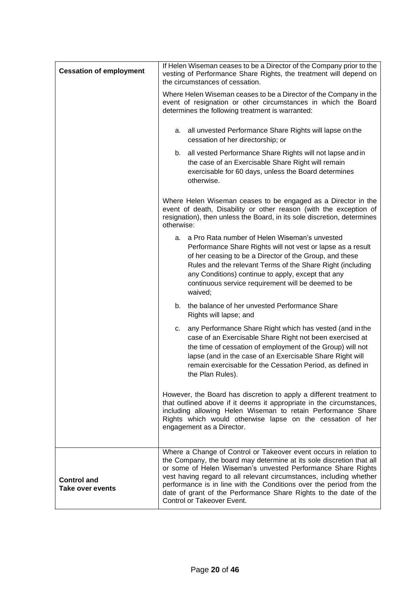| <b>Cessation of employment</b>         | If Helen Wiseman ceases to be a Director of the Company prior to the<br>vesting of Performance Share Rights, the treatment will depend on<br>the circumstances of cessation.                                                                                                                                                                                                                                                                              |  |  |  |
|----------------------------------------|-----------------------------------------------------------------------------------------------------------------------------------------------------------------------------------------------------------------------------------------------------------------------------------------------------------------------------------------------------------------------------------------------------------------------------------------------------------|--|--|--|
|                                        | Where Helen Wiseman ceases to be a Director of the Company in the<br>event of resignation or other circumstances in which the Board<br>determines the following treatment is warranted:                                                                                                                                                                                                                                                                   |  |  |  |
|                                        | all unvested Performance Share Rights will lapse on the<br>а.<br>cessation of her directorship; or                                                                                                                                                                                                                                                                                                                                                        |  |  |  |
|                                        | b. all vested Performance Share Rights will not lapse and in<br>the case of an Exercisable Share Right will remain<br>exercisable for 60 days, unless the Board determines<br>otherwise.                                                                                                                                                                                                                                                                  |  |  |  |
|                                        | Where Helen Wiseman ceases to be engaged as a Director in the<br>event of death, Disability or other reason (with the exception of<br>resignation), then unless the Board, in its sole discretion, determines<br>otherwise:                                                                                                                                                                                                                               |  |  |  |
|                                        | a. a Pro Rata number of Helen Wiseman's unvested<br>Performance Share Rights will not vest or lapse as a result<br>of her ceasing to be a Director of the Group, and these<br>Rules and the relevant Terms of the Share Right (including<br>any Conditions) continue to apply, except that any<br>continuous service requirement will be deemed to be<br>waived;                                                                                          |  |  |  |
|                                        | the balance of her unvested Performance Share<br>b.<br>Rights will lapse; and                                                                                                                                                                                                                                                                                                                                                                             |  |  |  |
|                                        | any Performance Share Right which has vested (and in the<br>c.<br>case of an Exercisable Share Right not been exercised at<br>the time of cessation of employment of the Group) will not<br>lapse (and in the case of an Exercisable Share Right will<br>remain exercisable for the Cessation Period, as defined in<br>the Plan Rules).                                                                                                                   |  |  |  |
|                                        | However, the Board has discretion to apply a different treatment to<br>that outlined above if it deems it appropriate in the circumstances,<br>including allowing Helen Wiseman to retain Performance Share<br>Rights which would otherwise lapse on the cessation of her<br>engagement as a Director.                                                                                                                                                    |  |  |  |
| <b>Control and</b><br>Take over events | Where a Change of Control or Takeover event occurs in relation to<br>the Company, the board may determine at its sole discretion that all<br>or some of Helen Wiseman's unvested Performance Share Rights<br>vest having regard to all relevant circumstances, including whether<br>performance is in line with the Conditions over the period from the<br>date of grant of the Performance Share Rights to the date of the<br>Control or Takeover Event. |  |  |  |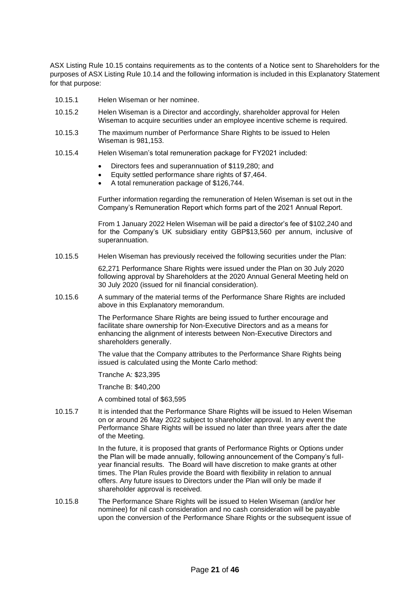ASX Listing Rule 10.15 contains requirements as to the contents of a Notice sent to Shareholders for the purposes of ASX Listing Rule 10.14 and the following information is included in this Explanatory Statement for that purpose:

- 10.15.1 Helen Wiseman or her nominee.
- 10.15.2 Helen Wiseman is a Director and accordingly, shareholder approval for Helen Wiseman to acquire securities under an employee incentive scheme is required.
- 10.15.3 The maximum number of Performance Share Rights to be issued to Helen Wiseman is 981,153.
- 10.15.4 Helen Wiseman's total remuneration package for FY2021 included:
	- Directors fees and superannuation of \$119,280; and
	- Equity settled performance share rights of \$7,464.
	- A total remuneration package of \$126,744.

Further information regarding the remuneration of Helen Wiseman is set out in the Company's Remuneration Report which forms part of the 2021 Annual Report.

From 1 January 2022 Helen Wiseman will be paid a director's fee of \$102,240 and for the Company's UK subsidiary entity GBP\$13,560 per annum, inclusive of superannuation.

10.15.5 Helen Wiseman has previously received the following securities under the Plan:

62,271 Performance Share Rights were issued under the Plan on 30 July 2020 following approval by Shareholders at the 2020 Annual General Meeting held on 30 July 2020 (issued for nil financial consideration).

10.15.6 A summary of the material terms of the Performance Share Rights are included above in this Explanatory memorandum.

> The Performance Share Rights are being issued to further encourage and facilitate share ownership for Non-Executive Directors and as a means for enhancing the alignment of interests between Non-Executive Directors and shareholders generally.

The value that the Company attributes to the Performance Share Rights being issued is calculated using the Monte Carlo method:

Tranche A: \$23,395

Tranche B: \$40,200

A combined total of \$63,595

10.15.7 It is intended that the Performance Share Rights will be issued to Helen Wiseman on or around 26 May 2022 subject to shareholder approval. In any event the Performance Share Rights will be issued no later than three years after the date of the Meeting.

> In the future, it is proposed that grants of Performance Rights or Options under the Plan will be made annually, following announcement of the Company's fullyear financial results. The Board will have discretion to make grants at other times. The Plan Rules provide the Board with flexibility in relation to annual offers. Any future issues to Directors under the Plan will only be made if shareholder approval is received.

10.15.8 The Performance Share Rights will be issued to Helen Wiseman (and/or her nominee) for nil cash consideration and no cash consideration will be payable upon the conversion of the Performance Share Rights or the subsequent issue of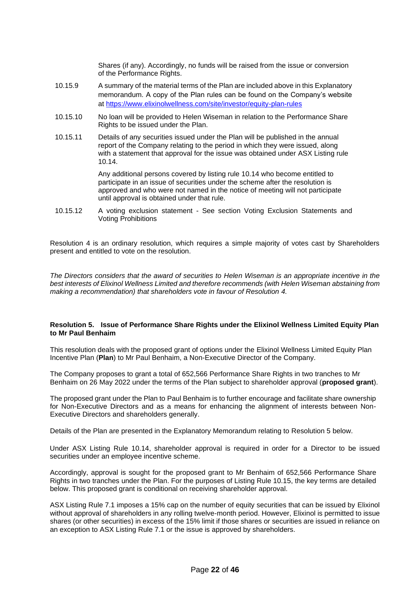Shares (if any). Accordingly, no funds will be raised from the issue or conversion of the Performance Rights.

- 10.15.9 A summary of the material terms of the Plan are included above in this Explanatory memorandum. A copy of the Plan rules can be found on the Company's website at https://www.elixinolwellness.com/site/investor/equity-plan-rules
- 10.15.10 No loan will be provided to Helen Wiseman in relation to the Performance Share Rights to be issued under the Plan.
- 10.15.11 Details of any securities issued under the Plan will be published in the annual report of the Company relating to the period in which they were issued, along with a statement that approval for the issue was obtained under ASX Listing rule 10.14.

Any additional persons covered by listing rule 10.14 who become entitled to participate in an issue of securities under the scheme after the resolution is approved and who were not named in the notice of meeting will not participate until approval is obtained under that rule.

10.15.12 A voting exclusion statement - See section Voting Exclusion Statements and Voting Prohibitions

Resolution 4 is an ordinary resolution, which requires a simple majority of votes cast by Shareholders present and entitled to vote on the resolution.

*The Directors considers that the award of securities to Helen Wiseman is an appropriate incentive in the best interests of Elixinol Wellness Limited and therefore recommends (with Helen Wiseman abstaining from making a recommendation) that shareholders vote in favour of Resolution 4.*

#### **Resolution 5. Issue of Performance Share Rights under the Elixinol Wellness Limited Equity Plan to Mr Paul Benhaim**

This resolution deals with the proposed grant of options under the Elixinol Wellness Limited Equity Plan Incentive Plan (**Plan**) to Mr Paul Benhaim, a Non-Executive Director of the Company.

The Company proposes to grant a total of 652,566 Performance Share Rights in two tranches to Mr Benhaim on 26 May 2022 under the terms of the Plan subject to shareholder approval (**proposed grant**).

The proposed grant under the Plan to Paul Benhaim is to further encourage and facilitate share ownership for Non-Executive Directors and as a means for enhancing the alignment of interests between Non-Executive Directors and shareholders generally.

Details of the Plan are presented in the Explanatory Memorandum relating to Resolution 5 below.

Under ASX Listing Rule 10.14, shareholder approval is required in order for a Director to be issued securities under an employee incentive scheme.

Accordingly, approval is sought for the proposed grant to Mr Benhaim of 652,566 Performance Share Rights in two tranches under the Plan. For the purposes of Listing Rule 10.15, the key terms are detailed below. This proposed grant is conditional on receiving shareholder approval.

ASX Listing Rule 7.1 imposes a 15% cap on the number of equity securities that can be issued by Elixinol without approval of shareholders in any rolling twelve-month period. However, Elixinol is permitted to issue shares (or other securities) in excess of the 15% limit if those shares or securities are issued in reliance on an exception to ASX Listing Rule 7.1 or the issue is approved by shareholders.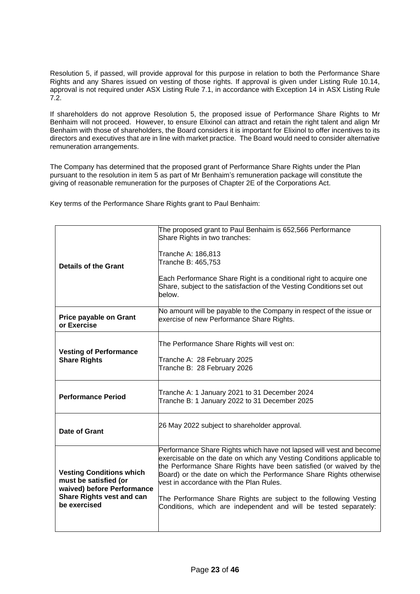Resolution 5, if passed, will provide approval for this purpose in relation to both the Performance Share Rights and any Shares issued on vesting of those rights. If approval is given under Listing Rule 10.14, approval is not required under ASX Listing Rule 7.1, in accordance with Exception 14 in ASX Listing Rule 7.2.

If shareholders do not approve Resolution 5, the proposed issue of Performance Share Rights to Mr Benhaim will not proceed. However, to ensure Elixinol can attract and retain the right talent and align Mr Benhaim with those of shareholders, the Board considers it is important for Elixinol to offer incentives to its directors and executives that are in line with market practice. The Board would need to consider alternative remuneration arrangements.

The Company has determined that the proposed grant of Performance Share Rights under the Plan pursuant to the resolution in item 5 as part of Mr Benhaim's remuneration package will constitute the giving of reasonable remuneration for the purposes of Chapter 2E of the Corporations Act.

Key terms of the Performance Share Rights grant to Paul Benhaim:

| Details of the Grant                                                                                                                                                                                                                                                                                                                                                                                                                                                                                                                                                                                                       | The proposed grant to Paul Benhaim is 652,566 Performance<br>Share Rights in two tranches:<br>Tranche A: 186,813<br>Tranche B: 465,753<br>Each Performance Share Right is a conditional right to acquire one<br>Share, subject to the satisfaction of the Vesting Conditions set out<br>below. |
|----------------------------------------------------------------------------------------------------------------------------------------------------------------------------------------------------------------------------------------------------------------------------------------------------------------------------------------------------------------------------------------------------------------------------------------------------------------------------------------------------------------------------------------------------------------------------------------------------------------------------|------------------------------------------------------------------------------------------------------------------------------------------------------------------------------------------------------------------------------------------------------------------------------------------------|
| <b>Price payable on Grant</b><br>or Exercise                                                                                                                                                                                                                                                                                                                                                                                                                                                                                                                                                                               | No amount will be payable to the Company in respect of the issue or<br>exercise of new Performance Share Rights.                                                                                                                                                                               |
| <b>Vesting of Performance</b><br><b>Share Rights</b>                                                                                                                                                                                                                                                                                                                                                                                                                                                                                                                                                                       | The Performance Share Rights will vest on:<br>Tranche A: 28 February 2025<br>Tranche B: 28 February 2026                                                                                                                                                                                       |
| <b>Performance Period</b>                                                                                                                                                                                                                                                                                                                                                                                                                                                                                                                                                                                                  | Tranche A: 1 January 2021 to 31 December 2024<br>Tranche B: 1 January 2022 to 31 December 2025                                                                                                                                                                                                 |
| <b>Date of Grant</b>                                                                                                                                                                                                                                                                                                                                                                                                                                                                                                                                                                                                       | 26 May 2022 subject to shareholder approval.                                                                                                                                                                                                                                                   |
| Performance Share Rights which have not lapsed will vest and become<br>exercisable on the date on which any Vesting Conditions applicable to<br>the Performance Share Rights have been satisfied (or waived by the<br><b>Vesting Conditions which</b><br>Board) or the date on which the Performance Share Rights otherwise<br>must be satisfied (or<br>vest in accordance with the Plan Rules.<br>waived) before Performance<br><b>Share Rights vest and can</b><br>The Performance Share Rights are subject to the following Vesting<br>be exercised<br>Conditions, which are independent and will be tested separately: |                                                                                                                                                                                                                                                                                                |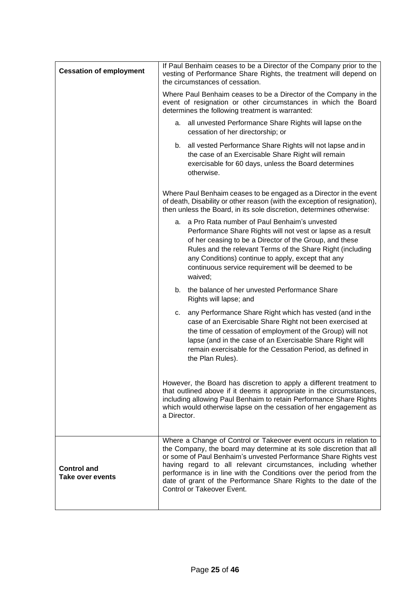| <b>Cessation of employment</b>         | If Paul Benhaim ceases to be a Director of the Company prior to the<br>vesting of Performance Share Rights, the treatment will depend on<br>the circumstances of cessation.                                                                                                                                                                                                                                                                              |  |  |  |
|----------------------------------------|----------------------------------------------------------------------------------------------------------------------------------------------------------------------------------------------------------------------------------------------------------------------------------------------------------------------------------------------------------------------------------------------------------------------------------------------------------|--|--|--|
|                                        | Where Paul Benhaim ceases to be a Director of the Company in the<br>event of resignation or other circumstances in which the Board<br>determines the following treatment is warranted:                                                                                                                                                                                                                                                                   |  |  |  |
|                                        | all unvested Performance Share Rights will lapse on the<br>а.<br>cessation of her directorship; or                                                                                                                                                                                                                                                                                                                                                       |  |  |  |
|                                        | b. all vested Performance Share Rights will not lapse and in<br>the case of an Exercisable Share Right will remain<br>exercisable for 60 days, unless the Board determines<br>otherwise.                                                                                                                                                                                                                                                                 |  |  |  |
|                                        | Where Paul Benhaim ceases to be engaged as a Director in the event<br>of death, Disability or other reason (with the exception of resignation),<br>then unless the Board, in its sole discretion, determines otherwise:                                                                                                                                                                                                                                  |  |  |  |
|                                        | a. a Pro Rata number of Paul Benhaim's unvested<br>Performance Share Rights will not vest or lapse as a result<br>of her ceasing to be a Director of the Group, and these<br>Rules and the relevant Terms of the Share Right (including<br>any Conditions) continue to apply, except that any<br>continuous service requirement will be deemed to be<br>waived;                                                                                          |  |  |  |
|                                        | the balance of her unvested Performance Share<br>b.<br>Rights will lapse; and                                                                                                                                                                                                                                                                                                                                                                            |  |  |  |
|                                        | any Performance Share Right which has vested (and in the<br>c.<br>case of an Exercisable Share Right not been exercised at<br>the time of cessation of employment of the Group) will not<br>lapse (and in the case of an Exercisable Share Right will<br>remain exercisable for the Cessation Period, as defined in<br>the Plan Rules).                                                                                                                  |  |  |  |
|                                        | However, the Board has discretion to apply a different treatment to<br>that outlined above if it deems it appropriate in the circumstances,<br>including allowing Paul Benhaim to retain Performance Share Rights<br>which would otherwise lapse on the cessation of her engagement as<br>a Director.                                                                                                                                                    |  |  |  |
| <b>Control and</b><br>Take over events | Where a Change of Control or Takeover event occurs in relation to<br>the Company, the board may determine at its sole discretion that all<br>or some of Paul Benhaim's unvested Performance Share Rights vest<br>having regard to all relevant circumstances, including whether<br>performance is in line with the Conditions over the period from the<br>date of grant of the Performance Share Rights to the date of the<br>Control or Takeover Event. |  |  |  |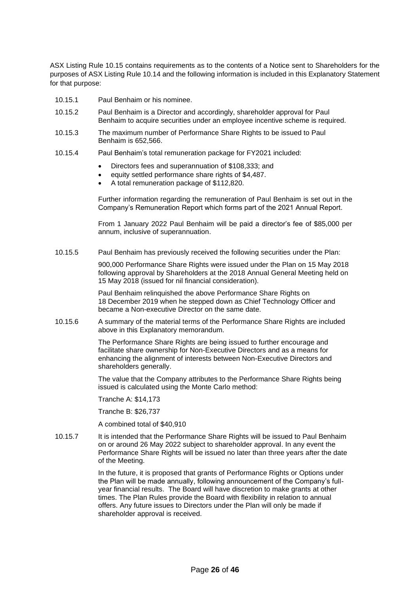ASX Listing Rule 10.15 contains requirements as to the contents of a Notice sent to Shareholders for the purposes of ASX Listing Rule 10.14 and the following information is included in this Explanatory Statement for that purpose:

- 10.15.1 Paul Benhaim or his nominee.
- 10.15.2 Paul Benhaim is a Director and accordingly, shareholder approval for Paul Benhaim to acquire securities under an employee incentive scheme is required.
- 10.15.3 The maximum number of Performance Share Rights to be issued to Paul Benhaim is 652,566.
- 10.15.4 Paul Benhaim's total remuneration package for FY2021 included:
	- Directors fees and superannuation of \$108,333; and
	- equity settled performance share rights of \$4,487.
	- A total remuneration package of \$112,820.

Further information regarding the remuneration of Paul Benhaim is set out in the Company's Remuneration Report which forms part of the 2021 Annual Report.

From 1 January 2022 Paul Benhaim will be paid a director's fee of \$85,000 per annum, inclusive of superannuation.

10.15.5 Paul Benhaim has previously received the following securities under the Plan:

900,000 Performance Share Rights were issued under the Plan on 15 May 2018 following approval by Shareholders at the 2018 Annual General Meeting held on 15 May 2018 (issued for nil financial consideration).

Paul Benhaim relinquished the above Performance Share Rights on 18 December 2019 when he stepped down as Chief Technology Officer and became a Non-executive Director on the same date.

10.15.6 A summary of the material terms of the Performance Share Rights are included above in this Explanatory memorandum.

> The Performance Share Rights are being issued to further encourage and facilitate share ownership for Non-Executive Directors and as a means for enhancing the alignment of interests between Non-Executive Directors and shareholders generally.

The value that the Company attributes to the Performance Share Rights being issued is calculated using the Monte Carlo method:

Tranche A: \$14,173

Tranche B: \$26,737

A combined total of \$40,910

10.15.7 It is intended that the Performance Share Rights will be issued to Paul Benhaim on or around 26 May 2022 subject to shareholder approval. In any event the Performance Share Rights will be issued no later than three years after the date of the Meeting.

> In the future, it is proposed that grants of Performance Rights or Options under the Plan will be made annually, following announcement of the Company's fullyear financial results. The Board will have discretion to make grants at other times. The Plan Rules provide the Board with flexibility in relation to annual offers. Any future issues to Directors under the Plan will only be made if shareholder approval is received.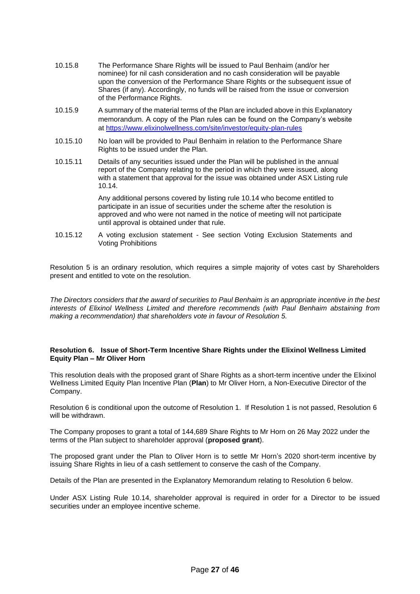- 10.15.8 The Performance Share Rights will be issued to Paul Benhaim (and/or her nominee) for nil cash consideration and no cash consideration will be payable upon the conversion of the Performance Share Rights or the subsequent issue of Shares (if any). Accordingly, no funds will be raised from the issue or conversion of the Performance Rights.
- 10.15.9 A summary of the material terms of the Plan are included above in this Explanatory memorandum. A copy of the Plan rules can be found on the Company's website at https://www.elixinolwellness.com/site/investor/equity-plan-rules
- 10.15.10 No loan will be provided to Paul Benhaim in relation to the Performance Share Rights to be issued under the Plan.
- 10.15.11 Details of any securities issued under the Plan will be published in the annual report of the Company relating to the period in which they were issued, along with a statement that approval for the issue was obtained under ASX Listing rule 10.14.

Any additional persons covered by listing rule 10.14 who become entitled to participate in an issue of securities under the scheme after the resolution is approved and who were not named in the notice of meeting will not participate until approval is obtained under that rule.

10.15.12 A voting exclusion statement - See section Voting Exclusion Statements and Voting Prohibitions

Resolution 5 is an ordinary resolution, which requires a simple majority of votes cast by Shareholders present and entitled to vote on the resolution.

*The Directors considers that the award of securities to Paul Benhaim is an appropriate incentive in the best interests of Elixinol Wellness Limited and therefore recommends (with Paul Benhaim abstaining from making a recommendation) that shareholders vote in favour of Resolution 5.*

#### **Resolution 6. Issue of Short-Term Incentive Share Rights under the Elixinol Wellness Limited Equity Plan – Mr Oliver Horn**

This resolution deals with the proposed grant of Share Rights as a short-term incentive under the Elixinol Wellness Limited Equity Plan Incentive Plan (**Plan**) to Mr Oliver Horn, a Non-Executive Director of the Company.

Resolution 6 is conditional upon the outcome of Resolution 1. If Resolution 1 is not passed, Resolution 6 will be withdrawn.

The Company proposes to grant a total of 144,689 Share Rights to Mr Horn on 26 May 2022 under the terms of the Plan subject to shareholder approval (**proposed grant**).

The proposed grant under the Plan to Oliver Horn is to settle Mr Horn's 2020 short-term incentive by issuing Share Rights in lieu of a cash settlement to conserve the cash of the Company.

Details of the Plan are presented in the Explanatory Memorandum relating to Resolution 6 below.

Under ASX Listing Rule 10.14, shareholder approval is required in order for a Director to be issued securities under an employee incentive scheme.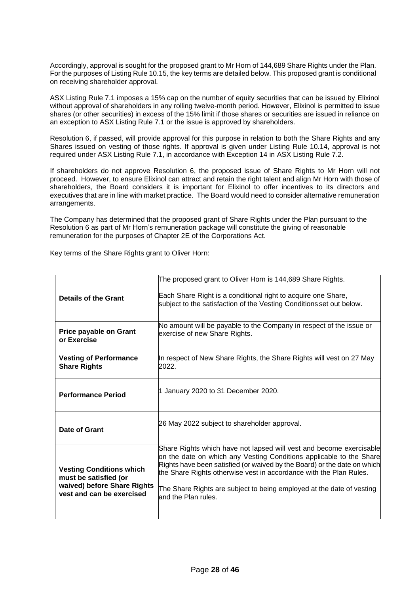Accordingly, approval is sought for the proposed grant to Mr Horn of 144,689 Share Rights under the Plan. For the purposes of Listing Rule 10.15, the key terms are detailed below. This proposed grant is conditional on receiving shareholder approval.

ASX Listing Rule 7.1 imposes a 15% cap on the number of equity securities that can be issued by Elixinol without approval of shareholders in any rolling twelve-month period. However, Elixinol is permitted to issue shares (or other securities) in excess of the 15% limit if those shares or securities are issued in reliance on an exception to ASX Listing Rule 7.1 or the issue is approved by shareholders.

Resolution 6, if passed, will provide approval for this purpose in relation to both the Share Rights and any Shares issued on vesting of those rights. If approval is given under Listing Rule 10.14, approval is not required under ASX Listing Rule 7.1, in accordance with Exception 14 in ASX Listing Rule 7.2.

If shareholders do not approve Resolution 6, the proposed issue of Share Rights to Mr Horn will not proceed. However, to ensure Elixinol can attract and retain the right talent and align Mr Horn with those of shareholders, the Board considers it is important for Elixinol to offer incentives to its directors and executives that are in line with market practice. The Board would need to consider alternative remuneration arrangements.

The Company has determined that the proposed grant of Share Rights under the Plan pursuant to the Resolution 6 as part of Mr Horn's remuneration package will constitute the giving of reasonable remuneration for the purposes of Chapter 2E of the Corporations Act.

Key terms of the Share Rights grant to Oliver Horn:

| <b>Details of the Grant</b>                                                                                                                                                                                                                                                                                                                                                                                                                                                                                          | The proposed grant to Oliver Horn is 144,689 Share Rights.<br>Each Share Right is a conditional right to acquire one Share,<br>subject to the satisfaction of the Vesting Conditions set out below. |
|----------------------------------------------------------------------------------------------------------------------------------------------------------------------------------------------------------------------------------------------------------------------------------------------------------------------------------------------------------------------------------------------------------------------------------------------------------------------------------------------------------------------|-----------------------------------------------------------------------------------------------------------------------------------------------------------------------------------------------------|
| Price payable on Grant<br>or Exercise                                                                                                                                                                                                                                                                                                                                                                                                                                                                                | No amount will be payable to the Company in respect of the issue or<br>exercise of new Share Rights.                                                                                                |
| <b>Vesting of Performance</b><br><b>Share Rights</b>                                                                                                                                                                                                                                                                                                                                                                                                                                                                 | In respect of New Share Rights, the Share Rights will vest on 27 May<br>2022.                                                                                                                       |
| <b>Performance Period</b>                                                                                                                                                                                                                                                                                                                                                                                                                                                                                            | 1 January 2020 to 31 December 2020.                                                                                                                                                                 |
| Date of Grant                                                                                                                                                                                                                                                                                                                                                                                                                                                                                                        | 26 May 2022 subject to shareholder approval.                                                                                                                                                        |
| Share Rights which have not lapsed will vest and become exercisable<br>on the date on which any Vesting Conditions applicable to the Share<br>Rights have been satisfied (or waived by the Board) or the date on which<br><b>Vesting Conditions which</b><br>the Share Rights otherwise vest in accordance with the Plan Rules.<br>must be satisfied (or<br>waived) before Share Rights<br>The Share Rights are subject to being employed at the date of vesting<br>vest and can be exercised<br>and the Plan rules. |                                                                                                                                                                                                     |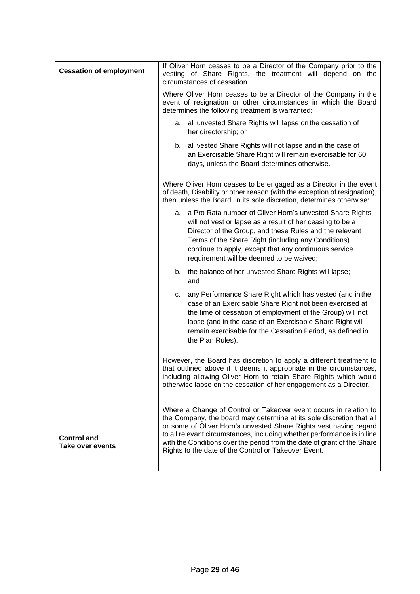| <b>Cessation of employment</b>                | If Oliver Horn ceases to be a Director of the Company prior to the<br>vesting of Share Rights, the treatment will depend on the<br>circumstances of cessation.                                                                                                                                                                                                                                                               |  |  |  |
|-----------------------------------------------|------------------------------------------------------------------------------------------------------------------------------------------------------------------------------------------------------------------------------------------------------------------------------------------------------------------------------------------------------------------------------------------------------------------------------|--|--|--|
|                                               | Where Oliver Horn ceases to be a Director of the Company in the<br>event of resignation or other circumstances in which the Board<br>determines the following treatment is warranted:<br>all unvested Share Rights will lapse on the cessation of<br>a.<br>her directorship; or                                                                                                                                              |  |  |  |
|                                               |                                                                                                                                                                                                                                                                                                                                                                                                                              |  |  |  |
|                                               | all vested Share Rights will not lapse and in the case of<br>b.<br>an Exercisable Share Right will remain exercisable for 60<br>days, unless the Board determines otherwise.                                                                                                                                                                                                                                                 |  |  |  |
|                                               | Where Oliver Horn ceases to be engaged as a Director in the event<br>of death, Disability or other reason (with the exception of resignation),<br>then unless the Board, in its sole discretion, determines otherwise:                                                                                                                                                                                                       |  |  |  |
|                                               | a. a Pro Rata number of Oliver Horn's unvested Share Rights<br>will not vest or lapse as a result of her ceasing to be a<br>Director of the Group, and these Rules and the relevant<br>Terms of the Share Right (including any Conditions)<br>continue to apply, except that any continuous service<br>requirement will be deemed to be waived;                                                                              |  |  |  |
|                                               | the balance of her unvested Share Rights will lapse;<br>b.<br>and                                                                                                                                                                                                                                                                                                                                                            |  |  |  |
|                                               | any Performance Share Right which has vested (and in the<br>c.<br>case of an Exercisable Share Right not been exercised at<br>the time of cessation of employment of the Group) will not<br>lapse (and in the case of an Exercisable Share Right will<br>remain exercisable for the Cessation Period, as defined in<br>the Plan Rules).                                                                                      |  |  |  |
|                                               | However, the Board has discretion to apply a different treatment to<br>that outlined above if it deems it appropriate in the circumstances,<br>including allowing Oliver Horn to retain Share Rights which would<br>otherwise lapse on the cessation of her engagement as a Director.                                                                                                                                        |  |  |  |
| <b>Control and</b><br><b>Take over events</b> | Where a Change of Control or Takeover event occurs in relation to<br>the Company, the board may determine at its sole discretion that all<br>or some of Oliver Horn's unvested Share Rights vest having regard<br>to all relevant circumstances, including whether performance is in line<br>with the Conditions over the period from the date of grant of the Share<br>Rights to the date of the Control or Takeover Event. |  |  |  |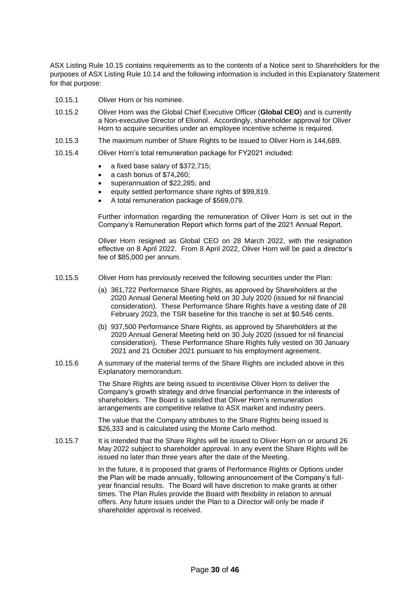ASX Listing Rule 10.15 contains requirements as to the contents of a Notice sent to Shareholders for the purposes of ASX Listing Rule 10.14 and the following information is included in this Explanatory Statement for that purpose:

- 10.15.1 Oliver Horn or his nominee.
- 10.15.2 Oliver Horn was the Global Chief Executive Officer (**Global CEO**) and is currently a Non-executive Director of Elixinol. Accordingly, shareholder approval for Oliver Horn to acquire securities under an employee incentive scheme is required.
- 10.15.3 The maximum number of Share Rights to be issued to Oliver Horn is 144,689.
- 10.15.4 Oliver Horn's total remuneration package for FY2021 included:
	- a fixed base salary of \$372,715;
	- a cash bonus of \$74,260;
	- superannuation of \$22,285; and
	- equity settled performance share rights of \$99,819.
	- A total remuneration package of \$569,079.

Further information regarding the remuneration of Oliver Horn is set out in the Company's Remuneration Report which forms part of the 2021 Annual Report.

Oliver Horn resigned as Global CEO on 28 March 2022, with the resignation effective on 8 April 2022. From 8 April 2022, Oliver Horn will be paid a director's fee of \$85,000 per annum.

- 10.15.5 Oliver Horn has previously received the following securities under the Plan:
	- (a) 361,722 Performance Share Rights, as approved by Shareholders at the 2020 Annual General Meeting held on 30 July 2020 (issued for nil financial consideration). These Performance Share Rights have a vesting date of 28 February 2023, the TSR baseline for this tranche is set at \$0.546 cents.
	- (b) 937,500 Performance Share Rights, as approved by Shareholders at the 2020 Annual General Meeting held on 30 July 2020 (issued for nil financial consideration). These Performance Share Rights fully vested on 30 January 2021 and 21 October 2021 pursuant to his employment agreement.
- 10.15.6 A summary of the material terms of the Share Rights are included above in this Explanatory memorandum.

The Share Rights are being issued to incentivise Oliver Horn to deliver the Company's growth strategy and drive financial performance in the interests of shareholders. The Board is satisfied that Oliver Horn's remuneration arrangements are competitive relative to ASX market and industry peers.

The value that the Company attributes to the Share Rights being issued is \$26,333 and is calculated using the Monte Carlo method.

10.15.7 It is intended that the Share Rights will be issued to Oliver Horn on or around 26 May 2022 subject to shareholder approval. In any event the Share Rights will be issued no later than three years after the date of the Meeting.

> In the future, it is proposed that grants of Performance Rights or Options under the Plan will be made annually, following announcement of the Company's fullyear financial results. The Board will have discretion to make grants at other times. The Plan Rules provide the Board with flexibility in relation to annual offers. Any future issues under the Plan to a Director will only be made if shareholder approval is received.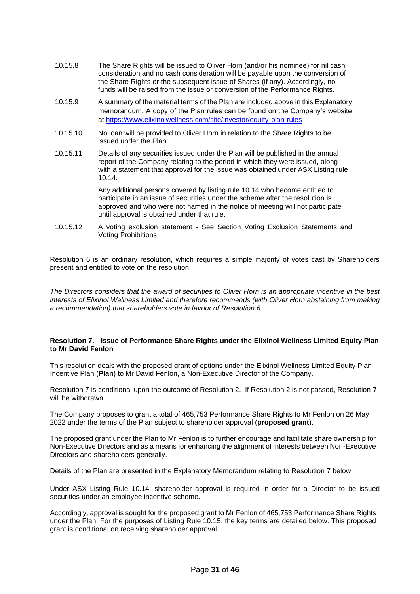- 10.15.8 The Share Rights will be issued to Oliver Horn (and/or his nominee) for nil cash consideration and no cash consideration will be payable upon the conversion of the Share Rights or the subsequent issue of Shares (if any). Accordingly, no funds will be raised from the issue or conversion of the Performance Rights.
- 10.15.9 A summary of the material terms of the Plan are included above in this Explanatory memorandum. A copy of the Plan rules can be found on the Company's website at https://www.elixinolwellness.com/site/investor/equity-plan-rules
- 10.15.10 No loan will be provided to Oliver Horn in relation to the Share Rights to be issued under the Plan.
- 10.15.11 Details of any securities issued under the Plan will be published in the annual report of the Company relating to the period in which they were issued, along with a statement that approval for the issue was obtained under ASX Listing rule 10.14.

Any additional persons covered by listing rule 10.14 who become entitled to participate in an issue of securities under the scheme after the resolution is approved and who were not named in the notice of meeting will not participate until approval is obtained under that rule.

10.15.12 A voting exclusion statement - See Section Voting Exclusion Statements and Voting Prohibitions.

Resolution 6 is an ordinary resolution, which requires a simple majority of votes cast by Shareholders present and entitled to vote on the resolution.

*The Directors considers that the award of securities to Oliver Horn is an appropriate incentive in the best interests of Elixinol Wellness Limited and therefore recommends (with Oliver Horn abstaining from making a recommendation) that shareholders vote in favour of Resolution 6.*

#### **Resolution 7. Issue of Performance Share Rights under the Elixinol Wellness Limited Equity Plan to Mr David Fenlon**

This resolution deals with the proposed grant of options under the Elixinol Wellness Limited Equity Plan Incentive Plan (**Plan**) to Mr David Fenlon, a Non-Executive Director of the Company.

Resolution 7 is conditional upon the outcome of Resolution 2. If Resolution 2 is not passed, Resolution 7 will be withdrawn.

The Company proposes to grant a total of 465,753 Performance Share Rights to Mr Fenlon on 26 May 2022 under the terms of the Plan subject to shareholder approval (**proposed grant**).

The proposed grant under the Plan to Mr Fenlon is to further encourage and facilitate share ownership for Non-Executive Directors and as a means for enhancing the alignment of interests between Non-Executive Directors and shareholders generally.

Details of the Plan are presented in the Explanatory Memorandum relating to Resolution 7 below.

Under ASX Listing Rule 10.14, shareholder approval is required in order for a Director to be issued securities under an employee incentive scheme.

Accordingly, approval is sought for the proposed grant to Mr Fenlon of 465,753 Performance Share Rights under the Plan. For the purposes of Listing Rule 10.15, the key terms are detailed below. This proposed grant is conditional on receiving shareholder approval.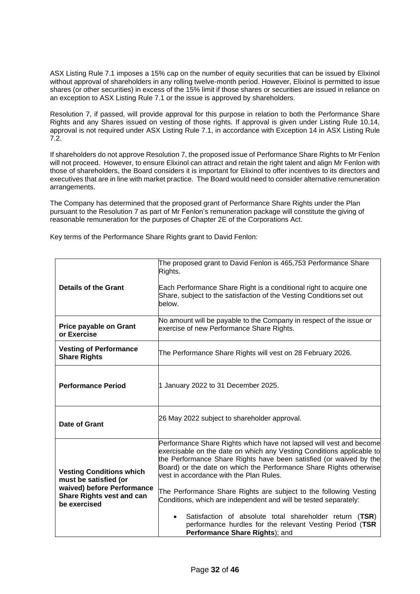ASX Listing Rule 7.1 imposes a 15% cap on the number of equity securities that can be issued by Elixinol without approval of shareholders in any rolling twelve-month period. However, Elixinol is permitted to issue shares (or other securities) in excess of the 15% limit if those shares or securities are issued in reliance on an exception to ASX Listing Rule 7.1 or the issue is approved by shareholders.

Resolution 7, if passed, will provide approval for this purpose in relation to both the Performance Share Rights and any Shares issued on vesting of those rights. If approval is given under Listing Rule 10.14, approval is not required under ASX Listing Rule 7.1, in accordance with Exception 14 in ASX Listing Rule 7.2.

If shareholders do not approve Resolution 7, the proposed issue of Performance Share Rights to Mr Fenlon will not proceed. However, to ensure Elixinol can attract and retain the right talent and align Mr Fenlon with those of shareholders, the Board considers it is important for Elixinol to offer incentives to its directors and executives that are in line with market practice. The Board would need to consider alternative remuneration arrangements.

The Company has determined that the proposed grant of Performance Share Rights under the Plan pursuant to the Resolution 7 as part of Mr Fenlon's remuneration package will constitute the giving of reasonable remuneration for the purposes of Chapter 2E of the Corporations Act.

Key terms of the Performance Share Rights grant to David Fenlon:

| <b>Details of the Grant</b>                                                                                                                | The proposed grant to David Fenlon is 465,753 Performance Share<br>Rights.<br>Each Performance Share Right is a conditional right to acquire one<br>Share, subject to the satisfaction of the Vesting Conditions set out<br>below.                                                                                                                                                                                                                                                                                                                                                                                                                 |  |  |
|--------------------------------------------------------------------------------------------------------------------------------------------|----------------------------------------------------------------------------------------------------------------------------------------------------------------------------------------------------------------------------------------------------------------------------------------------------------------------------------------------------------------------------------------------------------------------------------------------------------------------------------------------------------------------------------------------------------------------------------------------------------------------------------------------------|--|--|
| <b>Price payable on Grant</b><br>or Exercise                                                                                               | No amount will be payable to the Company in respect of the issue or<br>exercise of new Performance Share Rights.                                                                                                                                                                                                                                                                                                                                                                                                                                                                                                                                   |  |  |
| <b>Vesting of Performance</b><br><b>Share Rights</b>                                                                                       | The Performance Share Rights will vest on 28 February 2026.                                                                                                                                                                                                                                                                                                                                                                                                                                                                                                                                                                                        |  |  |
| <b>Performance Period</b>                                                                                                                  | 1 January 2022 to 31 December 2025.                                                                                                                                                                                                                                                                                                                                                                                                                                                                                                                                                                                                                |  |  |
| Date of Grant                                                                                                                              | 26 May 2022 subject to shareholder approval.                                                                                                                                                                                                                                                                                                                                                                                                                                                                                                                                                                                                       |  |  |
| <b>Vesting Conditions which</b><br>must be satisfied (or<br>waived) before Performance<br><b>Share Rights vest and can</b><br>be exercised | Performance Share Rights which have not lapsed will vest and become<br>exercisable on the date on which any Vesting Conditions applicable to<br>the Performance Share Rights have been satisfied (or waived by the<br>Board) or the date on which the Performance Share Rights otherwise<br>vest in accordance with the Plan Rules.<br>The Performance Share Rights are subject to the following Vesting<br>Conditions, which are independent and will be tested separately:<br>Satisfaction of absolute total shareholder return (TSR)<br>$\bullet$<br>performance hurdles for the relevant Vesting Period (TSR<br>Performance Share Rights); and |  |  |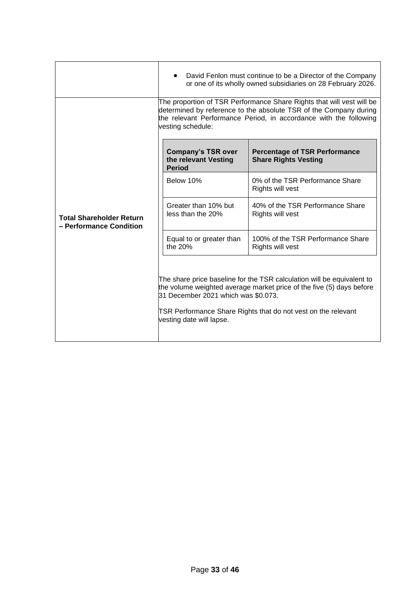|                                                            | David Fenlon must continue to be a Director of the Company<br>or one of its wholly owned subsidiaries on 28 February 2026.                                                                                                                                                         |                                                                     |  |  |
|------------------------------------------------------------|------------------------------------------------------------------------------------------------------------------------------------------------------------------------------------------------------------------------------------------------------------------------------------|---------------------------------------------------------------------|--|--|
|                                                            | The proportion of TSR Performance Share Rights that will vest will be<br>determined by reference to the absolute TSR of the Company during<br>the relevant Performance Period, in accordance with the following<br>vesting schedule:                                               |                                                                     |  |  |
| <b>Total Shareholder Return</b><br>- Performance Condition | <b>Company's TSR over</b><br>the relevant Vesting<br><b>Period</b>                                                                                                                                                                                                                 | <b>Percentage of TSR Performance</b><br><b>Share Rights Vesting</b> |  |  |
|                                                            | Below 10%                                                                                                                                                                                                                                                                          | 0% of the TSR Performance Share<br>Rights will vest                 |  |  |
|                                                            | Greater than 10% but<br>less than the 20%                                                                                                                                                                                                                                          | 40% of the TSR Performance Share<br>Rights will vest                |  |  |
|                                                            | Equal to or greater than<br>the $20%$                                                                                                                                                                                                                                              | 100% of the TSR Performance Share<br>Rights will vest               |  |  |
|                                                            | The share price baseline for the TSR calculation will be equivalent to<br>the volume weighted average market price of the five (5) days before<br>31 December 2021 which was \$0.073.<br>TSR Performance Share Rights that do not vest on the relevant<br>vesting date will lapse. |                                                                     |  |  |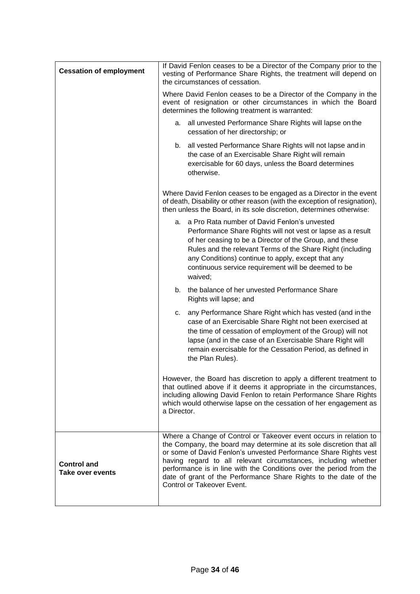| <b>Cessation of employment</b>         | If David Fenlon ceases to be a Director of the Company prior to the<br>vesting of Performance Share Rights, the treatment will depend on<br>the circumstances of cessation.                                                                                                                                                                                                                                                                              |  |  |  |
|----------------------------------------|----------------------------------------------------------------------------------------------------------------------------------------------------------------------------------------------------------------------------------------------------------------------------------------------------------------------------------------------------------------------------------------------------------------------------------------------------------|--|--|--|
|                                        | Where David Fenlon ceases to be a Director of the Company in the<br>event of resignation or other circumstances in which the Board<br>determines the following treatment is warranted:                                                                                                                                                                                                                                                                   |  |  |  |
|                                        | all unvested Performance Share Rights will lapse on the<br>а.<br>cessation of her directorship; or                                                                                                                                                                                                                                                                                                                                                       |  |  |  |
|                                        | b. all vested Performance Share Rights will not lapse and in<br>the case of an Exercisable Share Right will remain<br>exercisable for 60 days, unless the Board determines<br>otherwise.                                                                                                                                                                                                                                                                 |  |  |  |
|                                        | Where David Fenlon ceases to be engaged as a Director in the event<br>of death, Disability or other reason (with the exception of resignation),<br>then unless the Board, in its sole discretion, determines otherwise:                                                                                                                                                                                                                                  |  |  |  |
|                                        | a. a Pro Rata number of David Fenlon's unvested<br>Performance Share Rights will not vest or lapse as a result<br>of her ceasing to be a Director of the Group, and these<br>Rules and the relevant Terms of the Share Right (including<br>any Conditions) continue to apply, except that any<br>continuous service requirement will be deemed to be<br>waived;                                                                                          |  |  |  |
|                                        | the balance of her unvested Performance Share<br>b.<br>Rights will lapse; and                                                                                                                                                                                                                                                                                                                                                                            |  |  |  |
|                                        | any Performance Share Right which has vested (and in the<br>c.<br>case of an Exercisable Share Right not been exercised at<br>the time of cessation of employment of the Group) will not<br>lapse (and in the case of an Exercisable Share Right will<br>remain exercisable for the Cessation Period, as defined in<br>the Plan Rules).                                                                                                                  |  |  |  |
|                                        | However, the Board has discretion to apply a different treatment to<br>that outlined above if it deems it appropriate in the circumstances,<br>including allowing David Fenlon to retain Performance Share Rights<br>which would otherwise lapse on the cessation of her engagement as<br>a Director.                                                                                                                                                    |  |  |  |
| <b>Control and</b><br>Take over events | Where a Change of Control or Takeover event occurs in relation to<br>the Company, the board may determine at its sole discretion that all<br>or some of David Fenlon's unvested Performance Share Rights vest<br>having regard to all relevant circumstances, including whether<br>performance is in line with the Conditions over the period from the<br>date of grant of the Performance Share Rights to the date of the<br>Control or Takeover Event. |  |  |  |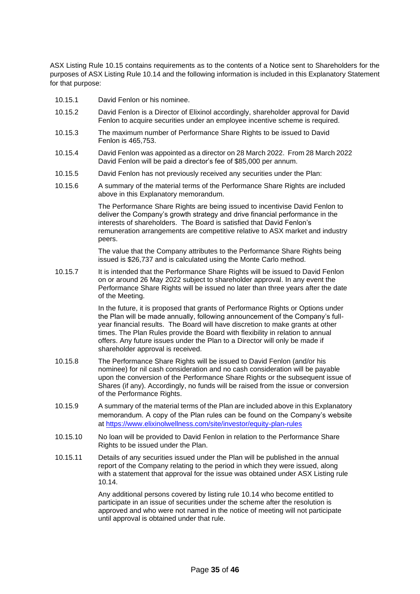ASX Listing Rule 10.15 contains requirements as to the contents of a Notice sent to Shareholders for the purposes of ASX Listing Rule 10.14 and the following information is included in this Explanatory Statement for that purpose:

- 10.15.1 David Fenlon or his nominee.
- 10.15.2 David Fenlon is a Director of Elixinol accordingly, shareholder approval for David Fenlon to acquire securities under an employee incentive scheme is required.
- 10.15.3 The maximum number of Performance Share Rights to be issued to David Fenlon is 465,753.
- 10.15.4 David Fenlon was appointed as a director on 28 March 2022. From 28 March 2022 David Fenlon will be paid a director's fee of \$85,000 per annum.
- 10.15.5 David Fenlon has not previously received any securities under the Plan:
- 10.15.6 A summary of the material terms of the Performance Share Rights are included above in this Explanatory memorandum.

The Performance Share Rights are being issued to incentivise David Fenlon to deliver the Company's growth strategy and drive financial performance in the interests of shareholders. The Board is satisfied that David Fenlon's remuneration arrangements are competitive relative to ASX market and industry peers.

The value that the Company attributes to the Performance Share Rights being issued is \$26,737 and is calculated using the Monte Carlo method.

10.15.7 It is intended that the Performance Share Rights will be issued to David Fenlon on or around 26 May 2022 subject to shareholder approval. In any event the Performance Share Rights will be issued no later than three years after the date of the Meeting.

> In the future, it is proposed that grants of Performance Rights or Options under the Plan will be made annually, following announcement of the Company's fullyear financial results. The Board will have discretion to make grants at other times. The Plan Rules provide the Board with flexibility in relation to annual offers. Any future issues under the Plan to a Director will only be made if shareholder approval is received.

- 10.15.8 The Performance Share Rights will be issued to David Fenlon (and/or his nominee) for nil cash consideration and no cash consideration will be payable upon the conversion of the Performance Share Rights or the subsequent issue of Shares (if any). Accordingly, no funds will be raised from the issue or conversion of the Performance Rights.
- 10.15.9 A summary of the material terms of the Plan are included above in this Explanatory memorandum. A copy of the Plan rules can be found on the Company's website at https://www.elixinolwellness.com/site/investor/equity-plan-rules
- 10.15.10 No loan will be provided to David Fenlon in relation to the Performance Share Rights to be issued under the Plan.
- 10.15.11 Details of any securities issued under the Plan will be published in the annual report of the Company relating to the period in which they were issued, along with a statement that approval for the issue was obtained under ASX Listing rule 10.14.

Any additional persons covered by listing rule 10.14 who become entitled to participate in an issue of securities under the scheme after the resolution is approved and who were not named in the notice of meeting will not participate until approval is obtained under that rule.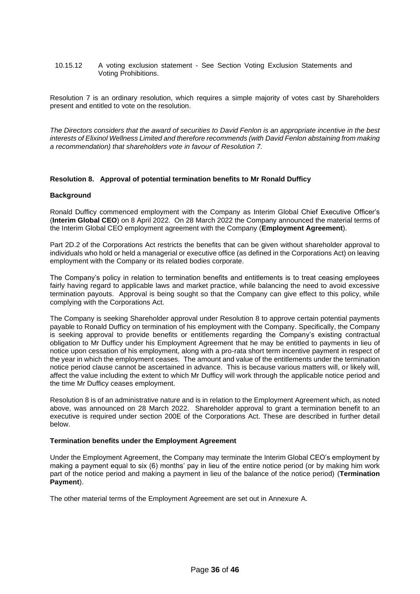10.15.12 A voting exclusion statement - See Section Voting Exclusion Statements and Voting Prohibitions.

Resolution 7 is an ordinary resolution, which requires a simple majority of votes cast by Shareholders present and entitled to vote on the resolution.

*The Directors considers that the award of securities to David Fenlon is an appropriate incentive in the best interests of Elixinol Wellness Limited and therefore recommends (with David Fenlon abstaining from making a recommendation) that shareholders vote in favour of Resolution 7.*

#### **Resolution 8. Approval of potential termination benefits to Mr Ronald Dufficy**

#### **Background**

Ronald Dufficy commenced employment with the Company as Interim Global Chief Executive Officer's (**Interim Global CEO**) on 8 April 2022. On 28 March 2022 the Company announced the material terms of the Interim Global CEO employment agreement with the Company (**Employment Agreement**).

Part 2D.2 of the Corporations Act restricts the benefits that can be given without shareholder approval to individuals who hold or held a managerial or executive office (as defined in the Corporations Act) on leaving employment with the Company or its related bodies corporate.

The Company's policy in relation to termination benefits and entitlements is to treat ceasing employees fairly having regard to applicable laws and market practice, while balancing the need to avoid excessive termination payouts. Approval is being sought so that the Company can give effect to this policy, while complying with the Corporations Act.

The Company is seeking Shareholder approval under Resolution 8 to approve certain potential payments payable to Ronald Dufficy on termination of his employment with the Company. Specifically, the Company is seeking approval to provide benefits or entitlements regarding the Company's existing contractual obligation to Mr Dufficy under his Employment Agreement that he may be entitled to payments in lieu of notice upon cessation of his employment, along with a pro-rata short term incentive payment in respect of the year in which the employment ceases. The amount and value of the entitlements under the termination notice period clause cannot be ascertained in advance. This is because various matters will, or likely will, affect the value including the extent to which Mr Dufficy will work through the applicable notice period and the time Mr Dufficy ceases employment.

Resolution 8 is of an administrative nature and is in relation to the Employment Agreement which, as noted above, was announced on 28 March 2022. Shareholder approval to grant a termination benefit to an executive is required under section 200E of the Corporations Act. These are described in further detail below.

#### **Termination benefits under the Employment Agreement**

Under the Employment Agreement, the Company may terminate the Interim Global CEO's employment by making a payment equal to six (6) months' pay in lieu of the entire notice period (or by making him work part of the notice period and making a payment in lieu of the balance of the notice period) (**Termination Payment**).

The other material terms of the Employment Agreement are set out in Annexure A.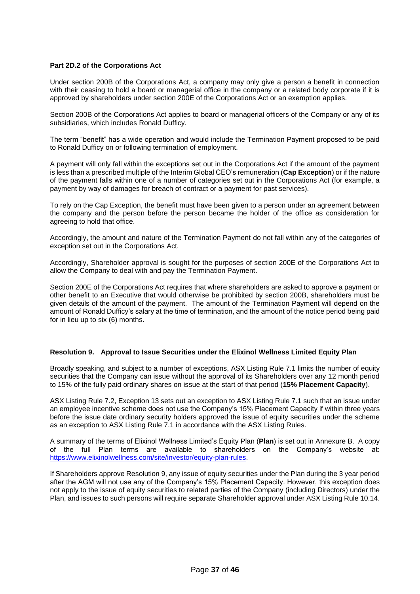#### **Part 2D.2 of the Corporations Act**

Under section 200B of the Corporations Act, a company may only give a person a benefit in connection with their ceasing to hold a board or managerial office in the company or a related body corporate if it is approved by shareholders under section 200E of the Corporations Act or an exemption applies.

Section 200B of the Corporations Act applies to board or managerial officers of the Company or any of its subsidiaries, which includes Ronald Dufficy.

The term "benefit" has a wide operation and would include the Termination Payment proposed to be paid to Ronald Dufficy on or following termination of employment.

A payment will only fall within the exceptions set out in the Corporations Act if the amount of the payment is less than a prescribed multiple of the Interim Global CEO's remuneration (**Cap Exception**) or if the nature of the payment falls within one of a number of categories set out in the Corporations Act (for example, a payment by way of damages for breach of contract or a payment for past services).

To rely on the Cap Exception, the benefit must have been given to a person under an agreement between the company and the person before the person became the holder of the office as consideration for agreeing to hold that office.

Accordingly, the amount and nature of the Termination Payment do not fall within any of the categories of exception set out in the Corporations Act.

Accordingly, Shareholder approval is sought for the purposes of section 200E of the Corporations Act to allow the Company to deal with and pay the Termination Payment.

Section 200E of the Corporations Act requires that where shareholders are asked to approve a payment or other benefit to an Executive that would otherwise be prohibited by section 200B, shareholders must be given details of the amount of the payment. The amount of the Termination Payment will depend on the amount of Ronald Dufficy's salary at the time of termination, and the amount of the notice period being paid for in lieu up to six (6) months.

#### **Resolution 9. Approval to Issue Securities under the Elixinol Wellness Limited Equity Plan**

Broadly speaking, and subject to a number of exceptions, ASX Listing Rule 7.1 limits the number of equity securities that the Company can issue without the approval of its Shareholders over any 12 month period to 15% of the fully paid ordinary shares on issue at the start of that period (**15% Placement Capacity**).

ASX Listing Rule 7.2, Exception 13 sets out an exception to ASX Listing Rule 7.1 such that an issue under an employee incentive scheme does not use the Company's 15% Placement Capacity if within three years before the issue date ordinary security holders approved the issue of equity securities under the scheme as an exception to ASX Listing Rule 7.1 in accordance with the ASX Listing Rules.

A summary of the terms of Elixinol Wellness Limited's Equity Plan (**Plan**) is set out in Annexure B. A copy of the full Plan terms are available to shareholders on the Company's website at: [https://www.elixinolwellness.com/site/investor/equity-plan-rules.](https://www.elixinolwellness.com/site/investor/equity-plan-rules)

If Shareholders approve Resolution 9, any issue of equity securities under the Plan during the 3 year period after the AGM will not use any of the Company's 15% Placement Capacity. However, this exception does not apply to the issue of equity securities to related parties of the Company (including Directors) under the Plan, and issues to such persons will require separate Shareholder approval under ASX Listing Rule 10.14.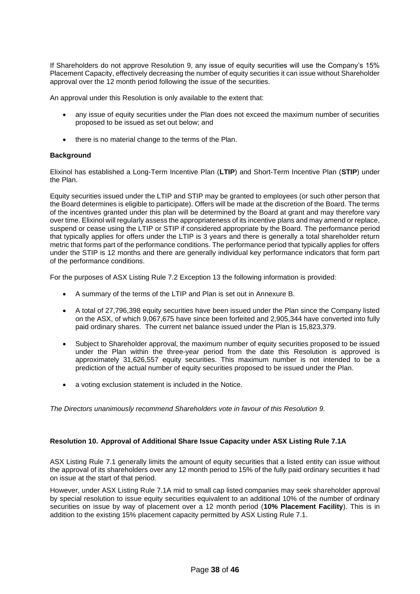If Shareholders do not approve Resolution 9, any issue of equity securities will use the Company's 15% Placement Capacity, effectively decreasing the number of equity securities it can issue without Shareholder approval over the 12 month period following the issue of the securities.

An approval under this Resolution is only available to the extent that:

- any issue of equity securities under the Plan does not exceed the maximum number of securities proposed to be issued as set out below; and
- there is no material change to the terms of the Plan.

#### **Background**

Elixinol has established a Long-Term Incentive Plan (**LTIP**) and Short-Term Incentive Plan (**STIP**) under the Plan.

Equity securities issued under the LTIP and STIP may be granted to employees (or such other person that the Board determines is eligible to participate). Offers will be made at the discretion of the Board. The terms of the incentives granted under this plan will be determined by the Board at grant and may therefore vary over time. Elixinol will regularly assess the appropriateness of its incentive plans and may amend or replace, suspend or cease using the LTIP or STIP if considered appropriate by the Board. The performance period that typically applies for offers under the LTIP is 3 years and there is generally a total shareholder return metric that forms part of the performance conditions. The performance period that typically applies for offers under the STIP is 12 months and there are generally individual key performance indicators that form part of the performance conditions.

For the purposes of ASX Listing Rule 7.2 Exception 13 the following information is provided:

- A summary of the terms of the LTIP and Plan is set out in Annexure B.
- A total of 27,796,398 equity securities have been issued under the Plan since the Company listed on the ASX, of which 9,067,675 have since been forfeited and 2,905,344 have converted into fully paid ordinary shares. The current net balance issued under the Plan is 15,823,379.
- Subject to Shareholder approval, the maximum number of equity securities proposed to be issued under the Plan within the three-year period from the date this Resolution is approved is approximately 31,626,557 equity securities. This maximum number is not intended to be a prediction of the actual number of equity securities proposed to be issued under the Plan.
- a voting exclusion statement is included in the Notice.

*The Directors unanimously recommend Shareholders vote in favour of this Resolution 9.*

## **Resolution 10. Approval of Additional Share Issue Capacity under ASX Listing Rule 7.1A**

ASX Listing Rule 7.1 generally limits the amount of equity securities that a listed entity can issue without the approval of its shareholders over any 12 month period to 15% of the fully paid ordinary securities it had on issue at the start of that period.

However, under ASX Listing Rule 7.1A mid to small cap listed companies may seek shareholder approval by special resolution to issue equity securities equivalent to an additional 10% of the number of ordinary securities on issue by way of placement over a 12 month period (**10% Placement Facility**). This is in addition to the existing 15% placement capacity permitted by ASX Listing Rule 7.1.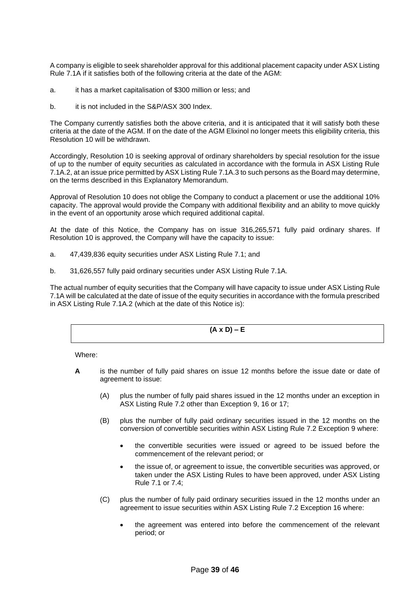A company is eligible to seek shareholder approval for this additional placement capacity under ASX Listing Rule 7.1A if it satisfies both of the following criteria at the date of the AGM:

- a. it has a market capitalisation of \$300 million or less; and
- b. it is not included in the S&P/ASX 300 Index.

The Company currently satisfies both the above criteria, and it is anticipated that it will satisfy both these criteria at the date of the AGM. If on the date of the AGM Elixinol no longer meets this eligibility criteria, this Resolution 10 will be withdrawn.

Accordingly, Resolution 10 is seeking approval of ordinary shareholders by special resolution for the issue of up to the number of equity securities as calculated in accordance with the formula in ASX Listing Rule 7.1A.2, at an issue price permitted by ASX Listing Rule 7.1A.3 to such persons as the Board may determine, on the terms described in this Explanatory Memorandum.

Approval of Resolution 10 does not oblige the Company to conduct a placement or use the additional 10% capacity. The approval would provide the Company with additional flexibility and an ability to move quickly in the event of an opportunity arose which required additional capital.

At the date of this Notice, the Company has on issue 316,265,571 fully paid ordinary shares. If Resolution 10 is approved, the Company will have the capacity to issue:

- a. 47,439,836 equity securities under ASX Listing Rule 7.1; and
- b. 31,626,557 fully paid ordinary securities under ASX Listing Rule 7.1A.

The actual number of equity securities that the Company will have capacity to issue under ASX Listing Rule 7.1A will be calculated at the date of issue of the equity securities in accordance with the formula prescribed in ASX Listing Rule 7.1A.2 (which at the date of this Notice is):

**(A x D) – E**

Where:

- **A** is the number of fully paid shares on issue 12 months before the issue date or date of agreement to issue:
	- (A) plus the number of fully paid shares issued in the 12 months under an exception in ASX Listing Rule 7.2 other than Exception 9, 16 or 17;
	- (B) plus the number of fully paid ordinary securities issued in the 12 months on the conversion of convertible securities within ASX Listing Rule 7.2 Exception 9 where:
		- the convertible securities were issued or agreed to be issued before the commencement of the relevant period; or
		- the issue of, or agreement to issue, the convertible securities was approved, or taken under the ASX Listing Rules to have been approved, under ASX Listing Rule 7.1 or 7.4;
	- (C) plus the number of fully paid ordinary securities issued in the 12 months under an agreement to issue securities within ASX Listing Rule 7.2 Exception 16 where:
		- the agreement was entered into before the commencement of the relevant period; or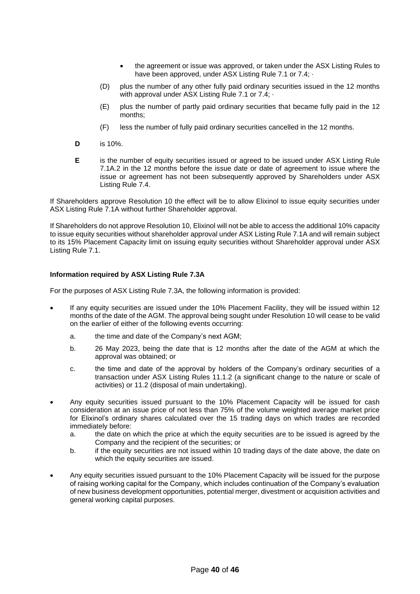- the agreement or issue was approved, or taken under the ASX Listing Rules to have been approved, under ASX Listing Rule 7.1 or 7.4;  $\cdot$
- (D) plus the number of any other fully paid ordinary securities issued in the 12 months with approval under ASX Listing Rule 7.1 or 7.4;  $\cdot$
- (E) plus the number of partly paid ordinary securities that became fully paid in the 12 months;
- (F) less the number of fully paid ordinary securities cancelled in the 12 months.
- **D** is 10%.
- **E** is the number of equity securities issued or agreed to be issued under ASX Listing Rule 7.1A.2 in the 12 months before the issue date or date of agreement to issue where the issue or agreement has not been subsequently approved by Shareholders under ASX Listing Rule 7.4.

If Shareholders approve Resolution 10 the effect will be to allow Elixinol to issue equity securities under ASX Listing Rule 7.1A without further Shareholder approval.

If Shareholders do not approve Resolution 10, Elixinol will not be able to access the additional 10% capacity to issue equity securities without shareholder approval under ASX Listing Rule 7.1A and will remain subject to its 15% Placement Capacity limit on issuing equity securities without Shareholder approval under ASX Listing Rule 7.1.

#### **Information required by ASX Listing Rule 7.3A**

For the purposes of ASX Listing Rule 7.3A, the following information is provided:

- If any equity securities are issued under the 10% Placement Facility, they will be issued within 12 months of the date of the AGM. The approval being sought under Resolution 10 will cease to be valid on the earlier of either of the following events occurring:
	- a. the time and date of the Company's next AGM;
	- b. 26 May 2023, being the date that is 12 months after the date of the AGM at which the approval was obtained; or
	- c. the time and date of the approval by holders of the Company's ordinary securities of a transaction under ASX Listing Rules 11.1.2 (a significant change to the nature or scale of activities) or 11.2 (disposal of main undertaking).
- Any equity securities issued pursuant to the 10% Placement Capacity will be issued for cash consideration at an issue price of not less than 75% of the volume weighted average market price for Elixinol's ordinary shares calculated over the 15 trading days on which trades are recorded immediately before:
	- a. the date on which the price at which the equity securities are to be issued is agreed by the Company and the recipient of the securities; or
	- b. if the equity securities are not issued within 10 trading days of the date above, the date on which the equity securities are issued.
- Any equity securities issued pursuant to the 10% Placement Capacity will be issued for the purpose of raising working capital for the Company, which includes continuation of the Company's evaluation of new business development opportunities, potential merger, divestment or acquisition activities and general working capital purposes.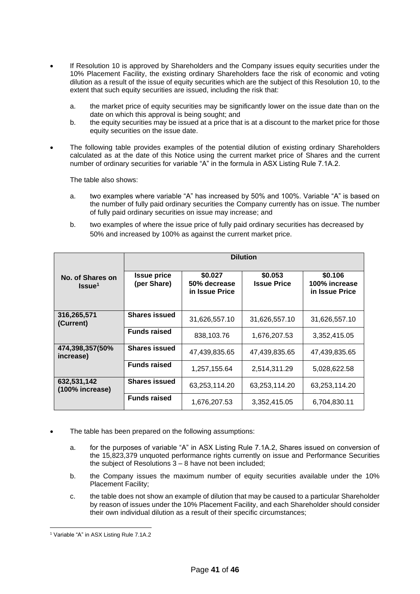- If Resolution 10 is approved by Shareholders and the Company issues equity securities under the 10% Placement Facility, the existing ordinary Shareholders face the risk of economic and voting dilution as a result of the issue of equity securities which are the subject of this Resolution 10, to the extent that such equity securities are issued, including the risk that:
	- a. the market price of equity securities may be significantly lower on the issue date than on the date on which this approval is being sought; and
	- b. the equity securities may be issued at a price that is at a discount to the market price for those equity securities on the issue date.
- The following table provides examples of the potential dilution of existing ordinary Shareholders calculated as at the date of this Notice using the current market price of Shares and the current number of ordinary securities for variable "A" in the formula in ASX Listing Rule 7.1A.2.

The table also shows:

- a. two examples where variable "A" has increased by 50% and 100%. Variable "A" is based on the number of fully paid ordinary securities the Company currently has on issue. The number of fully paid ordinary securities on issue may increase; and
- b. two examples of where the issue price of fully paid ordinary securities has decreased by 50% and increased by 100% as against the current market price.

|                                        | <b>Dilution</b>                   |                                           |                               |                                            |
|----------------------------------------|-----------------------------------|-------------------------------------------|-------------------------------|--------------------------------------------|
| No. of Shares on<br>Issue <sup>1</sup> | <b>Issue price</b><br>(per Share) | \$0.027<br>50% decrease<br>in Issue Price | \$0.053<br><b>Issue Price</b> | \$0.106<br>100% increase<br>in Issue Price |
| 316,265,571<br>(Current)               | <b>Shares issued</b>              | 31,626,557.10                             | 31,626,557.10                 | 31,626,557.10                              |
|                                        | <b>Funds raised</b>               | 838,103.76                                | 1,676,207.53                  | 3,352,415.05                               |
| 474,398,357(50%<br>increase)           | <b>Shares issued</b>              | 47,439,835.65                             | 47,439,835.65                 | 47,439,835.65                              |
|                                        | <b>Funds raised</b>               | 1,257,155.64                              | 2,514,311.29                  | 5,028,622.58                               |
| 632,531,142<br>(100% increase)         | <b>Shares issued</b>              | 63,253,114.20                             | 63,253,114.20                 | 63,253,114.20                              |
|                                        | <b>Funds raised</b>               | 1,676,207.53                              | 3,352,415.05                  | 6,704,830.11                               |

- The table has been prepared on the following assumptions:
	- a. for the purposes of variable "A" in ASX Listing Rule 7.1A.2, Shares issued on conversion of the 15,823,379 unquoted performance rights currently on issue and Performance Securities the subject of Resolutions 3 – 8 have not been included;
	- b. the Company issues the maximum number of equity securities available under the 10% Placement Facility;
	- c. the table does not show an example of dilution that may be caused to a particular Shareholder by reason of issues under the 10% Placement Facility, and each Shareholder should consider their own individual dilution as a result of their specific circumstances;

<sup>1</sup> Variable "A" in ASX Listing Rule 7.1A.2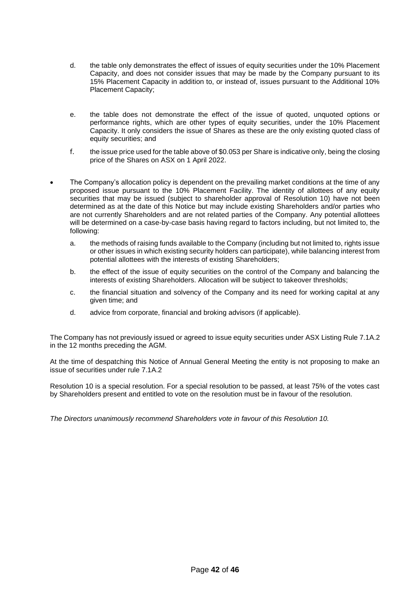- d. the table only demonstrates the effect of issues of equity securities under the 10% Placement Capacity, and does not consider issues that may be made by the Company pursuant to its 15% Placement Capacity in addition to, or instead of, issues pursuant to the Additional 10% Placement Capacity;
- e. the table does not demonstrate the effect of the issue of quoted, unquoted options or performance rights, which are other types of equity securities, under the 10% Placement Capacity. It only considers the issue of Shares as these are the only existing quoted class of equity securities; and
- f. the issue price used for the table above of \$0.053 per Share is indicative only, being the closing price of the Shares on ASX on 1 April 2022.
- The Company's allocation policy is dependent on the prevailing market conditions at the time of any proposed issue pursuant to the 10% Placement Facility. The identity of allottees of any equity securities that may be issued (subject to shareholder approval of Resolution 10) have not been determined as at the date of this Notice but may include existing Shareholders and/or parties who are not currently Shareholders and are not related parties of the Company. Any potential allottees will be determined on a case-by-case basis having regard to factors including, but not limited to, the following:
	- a. the methods of raising funds available to the Company (including but not limited to, rights issue or other issues in which existing security holders can participate), while balancing interest from potential allottees with the interests of existing Shareholders;
	- b. the effect of the issue of equity securities on the control of the Company and balancing the interests of existing Shareholders. Allocation will be subject to takeover thresholds;
	- c. the financial situation and solvency of the Company and its need for working capital at any given time; and
	- d. advice from corporate, financial and broking advisors (if applicable).

The Company has not previously issued or agreed to issue equity securities under ASX Listing Rule 7.1A.2 in the 12 months preceding the AGM.

At the time of despatching this Notice of Annual General Meeting the entity is not proposing to make an issue of securities under rule 7.1A.2

Resolution 10 is a special resolution. For a special resolution to be passed, at least 75% of the votes cast by Shareholders present and entitled to vote on the resolution must be in favour of the resolution.

*The Directors unanimously recommend Shareholders vote in favour of this Resolution 10.*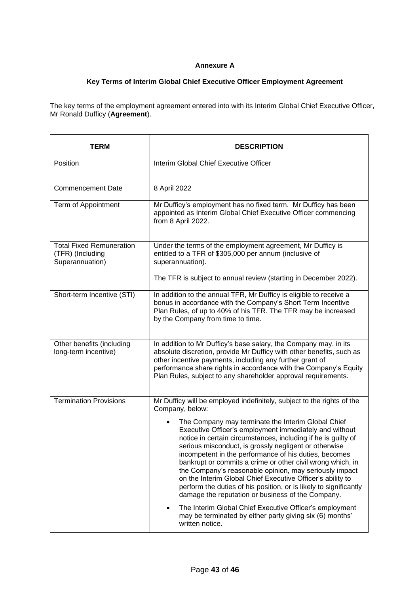## **Annexure A**

## **Key Terms of Interim Global Chief Executive Officer Employment Agreement**

The key terms of the employment agreement entered into with its Interim Global Chief Executive Officer, Mr Ronald Dufficy (**Agreement**).

| TERM                                                                   | <b>DESCRIPTION</b>                                                                                                                                                                                                                                                                                                                                                                                                                                                                                                                                                                                                                                                         |
|------------------------------------------------------------------------|----------------------------------------------------------------------------------------------------------------------------------------------------------------------------------------------------------------------------------------------------------------------------------------------------------------------------------------------------------------------------------------------------------------------------------------------------------------------------------------------------------------------------------------------------------------------------------------------------------------------------------------------------------------------------|
| Position                                                               | Interim Global Chief Executive Officer                                                                                                                                                                                                                                                                                                                                                                                                                                                                                                                                                                                                                                     |
| <b>Commencement Date</b>                                               | 8 April 2022                                                                                                                                                                                                                                                                                                                                                                                                                                                                                                                                                                                                                                                               |
| Term of Appointment                                                    | Mr Dufficy's employment has no fixed term. Mr Dufficy has been<br>appointed as Interim Global Chief Executive Officer commencing<br>from 8 April 2022.                                                                                                                                                                                                                                                                                                                                                                                                                                                                                                                     |
| <b>Total Fixed Remuneration</b><br>(TFR) (Including<br>Superannuation) | Under the terms of the employment agreement, Mr Dufficy is<br>entitled to a TFR of \$305,000 per annum (inclusive of<br>superannuation).                                                                                                                                                                                                                                                                                                                                                                                                                                                                                                                                   |
|                                                                        | The TFR is subject to annual review (starting in December 2022).                                                                                                                                                                                                                                                                                                                                                                                                                                                                                                                                                                                                           |
| Short-term Incentive (STI)                                             | In addition to the annual TFR, Mr Dufficy is eligible to receive a<br>bonus in accordance with the Company's Short Term Incentive<br>Plan Rules, of up to 40% of his TFR. The TFR may be increased<br>by the Company from time to time.                                                                                                                                                                                                                                                                                                                                                                                                                                    |
| Other benefits (including<br>long-term incentive)                      | In addition to Mr Dufficy's base salary, the Company may, in its<br>absolute discretion, provide Mr Dufficy with other benefits, such as<br>other incentive payments, including any further grant of<br>performance share rights in accordance with the Company's Equity<br>Plan Rules, subject to any shareholder approval requirements.                                                                                                                                                                                                                                                                                                                                  |
| <b>Termination Provisions</b>                                          | Mr Dufficy will be employed indefinitely, subject to the rights of the<br>Company, below:                                                                                                                                                                                                                                                                                                                                                                                                                                                                                                                                                                                  |
|                                                                        | The Company may terminate the Interim Global Chief<br>Executive Officer's employment immediately and without<br>notice in certain circumstances, including if he is guilty of<br>serious misconduct, is grossly negligent or otherwise<br>incompetent in the performance of his duties, becomes<br>bankrupt or commits a crime or other civil wrong which, in<br>the Company's reasonable opinion, may seriously impact<br>on the Interim Global Chief Executive Officer's ability to<br>perform the duties of his position, or is likely to significantly<br>damage the reputation or business of the Company.<br>The Interim Global Chief Executive Officer's employment |
|                                                                        | may be terminated by either party giving six (6) months'<br>written notice.                                                                                                                                                                                                                                                                                                                                                                                                                                                                                                                                                                                                |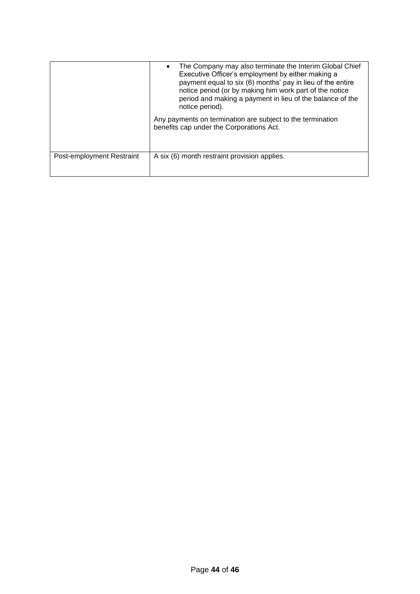|                           | The Company may also terminate the Interim Global Chief<br>Executive Officer's employment by either making a<br>payment equal to six (6) months' pay in lieu of the entire<br>notice period (or by making him work part of the notice<br>period and making a payment in lieu of the balance of the<br>notice period). |
|---------------------------|-----------------------------------------------------------------------------------------------------------------------------------------------------------------------------------------------------------------------------------------------------------------------------------------------------------------------|
|                           | Any payments on termination are subject to the termination<br>benefits cap under the Corporations Act.                                                                                                                                                                                                                |
| Post-employment Restraint | A six (6) month restraint provision applies.                                                                                                                                                                                                                                                                          |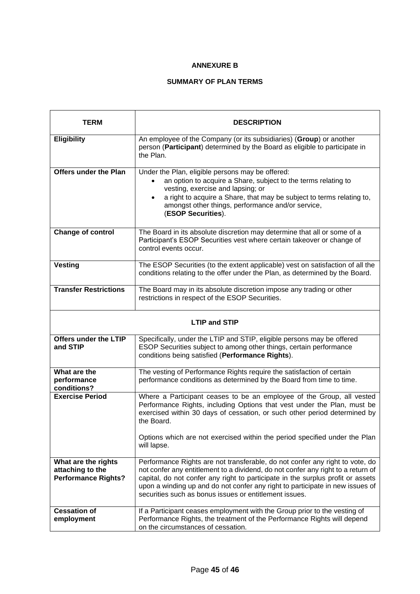## **ANNEXURE B**

## **SUMMARY OF PLAN TERMS**

| <b>TERM</b>                                                           | <b>DESCRIPTION</b>                                                                                                                                                                                                                                                                                                                                                                             |  |  |  |  |  |  |  |  |  |  |
|-----------------------------------------------------------------------|------------------------------------------------------------------------------------------------------------------------------------------------------------------------------------------------------------------------------------------------------------------------------------------------------------------------------------------------------------------------------------------------|--|--|--|--|--|--|--|--|--|--|
| <b>Eligibility</b>                                                    | An employee of the Company (or its subsidiaries) (Group) or another<br>person (Participant) determined by the Board as eligible to participate in<br>the Plan.                                                                                                                                                                                                                                 |  |  |  |  |  |  |  |  |  |  |
| <b>Offers under the Plan</b>                                          | Under the Plan, eligible persons may be offered:<br>an option to acquire a Share, subject to the terms relating to<br>$\bullet$<br>vesting, exercise and lapsing; or<br>a right to acquire a Share, that may be subject to terms relating to,<br>$\bullet$<br>amongst other things, performance and/or service,<br>(ESOP Securities).                                                          |  |  |  |  |  |  |  |  |  |  |
| <b>Change of control</b>                                              | The Board in its absolute discretion may determine that all or some of a<br>Participant's ESOP Securities vest where certain takeover or change of<br>control events occur.                                                                                                                                                                                                                    |  |  |  |  |  |  |  |  |  |  |
| <b>Vesting</b>                                                        | The ESOP Securities (to the extent applicable) vest on satisfaction of all the<br>conditions relating to the offer under the Plan, as determined by the Board.                                                                                                                                                                                                                                 |  |  |  |  |  |  |  |  |  |  |
| <b>Transfer Restrictions</b>                                          | The Board may in its absolute discretion impose any trading or other<br>restrictions in respect of the ESOP Securities.                                                                                                                                                                                                                                                                        |  |  |  |  |  |  |  |  |  |  |
|                                                                       | <b>LTIP and STIP</b>                                                                                                                                                                                                                                                                                                                                                                           |  |  |  |  |  |  |  |  |  |  |
| Offers under the LTIP<br>and STIP                                     | Specifically, under the LTIP and STIP, eligible persons may be offered<br>ESOP Securities subject to among other things, certain performance<br>conditions being satisfied (Performance Rights).                                                                                                                                                                                               |  |  |  |  |  |  |  |  |  |  |
| What are the<br>performance<br>conditions?                            | The vesting of Performance Rights require the satisfaction of certain<br>performance conditions as determined by the Board from time to time.                                                                                                                                                                                                                                                  |  |  |  |  |  |  |  |  |  |  |
| <b>Exercise Period</b>                                                | Where a Participant ceases to be an employee of the Group, all vested<br>Performance Rights, including Options that vest under the Plan, must be<br>exercised within 30 days of cessation, or such other period determined by<br>the Board.                                                                                                                                                    |  |  |  |  |  |  |  |  |  |  |
|                                                                       | Options which are not exercised within the period specified under the Plan<br>will lapse.                                                                                                                                                                                                                                                                                                      |  |  |  |  |  |  |  |  |  |  |
| What are the rights<br>attaching to the<br><b>Performance Rights?</b> | Performance Rights are not transferable, do not confer any right to vote, do<br>not confer any entitlement to a dividend, do not confer any right to a return of<br>capital, do not confer any right to participate in the surplus profit or assets<br>upon a winding up and do not confer any right to participate in new issues of<br>securities such as bonus issues or entitlement issues. |  |  |  |  |  |  |  |  |  |  |
| <b>Cessation of</b><br>employment                                     | If a Participant ceases employment with the Group prior to the vesting of<br>Performance Rights, the treatment of the Performance Rights will depend<br>on the circumstances of cessation.                                                                                                                                                                                                     |  |  |  |  |  |  |  |  |  |  |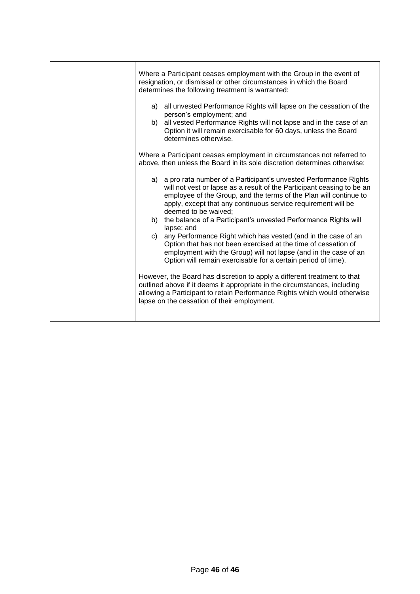| Where a Participant ceases employment with the Group in the event of<br>resignation, or dismissal or other circumstances in which the Board<br>determines the following treatment is warranted:                                                                                                             |
|-------------------------------------------------------------------------------------------------------------------------------------------------------------------------------------------------------------------------------------------------------------------------------------------------------------|
| a) all unvested Performance Rights will lapse on the cessation of the<br>person's employment; and<br>all vested Performance Rights will not lapse and in the case of an<br>b)<br>Option it will remain exercisable for 60 days, unless the Board<br>determines otherwise.                                   |
| Where a Participant ceases employment in circumstances not referred to<br>above, then unless the Board in its sole discretion determines otherwise:                                                                                                                                                         |
| a) a pro rata number of a Participant's unvested Performance Rights<br>will not vest or lapse as a result of the Participant ceasing to be an<br>employee of the Group, and the terms of the Plan will continue to<br>apply, except that any continuous service requirement will be<br>deemed to be waived; |
| the balance of a Participant's unvested Performance Rights will<br>b)<br>lapse; and                                                                                                                                                                                                                         |
| any Performance Right which has vested (and in the case of an<br>C)<br>Option that has not been exercised at the time of cessation of<br>employment with the Group) will not lapse (and in the case of an<br>Option will remain exercisable for a certain period of time).                                  |
| However, the Board has discretion to apply a different treatment to that<br>outlined above if it deems it appropriate in the circumstances, including<br>allowing a Participant to retain Performance Rights which would otherwise<br>lapse on the cessation of their employment.                           |
|                                                                                                                                                                                                                                                                                                             |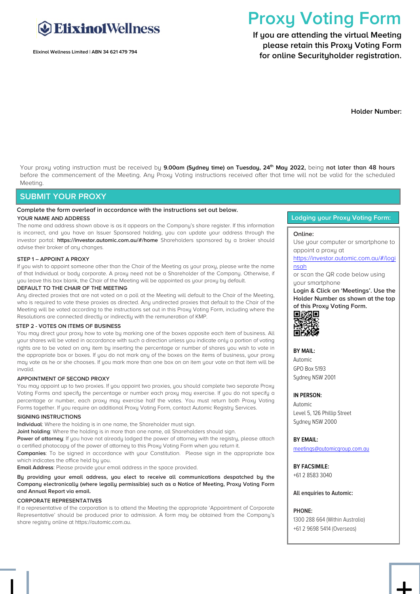

**Elixinol Wellness Limited | ABN 34 621 479 794**

# **Proxy Voting Form**

**If you are attending the virtual Meeting please retain this Proxy Voting Form for online Securityholder registration.**

**Holder Number:**

Your proxy voting instruction must be received by **9.00am (Sydney time) on Tuesday, 24th May 2022,** being **not later than 48 hours** before the commencement of the Meeting. Any Proxy Voting instructions received after that time will not be valid for the scheduled Meeting.

#### **SUBMIT YOUR PROXY**

#### **Complete the form overleaf in accordance with the instructions set out below.**

#### **YOUR NAME AND ADDRESS**

The name and address shown above is as it appears on the Company's share register. If this information is incorrect, and you have an Issuer Sponsored holding, you can update your address through the investor portal: **https://investor.automic.com.au/#/home** Shareholders sponsored by a broker should advise their broker of any changes.

#### **STEP 1 – APPOINT A PROXY**

If you wish to appoint someone other than the Chair of the Meeting as your proxy, please write the name of that Individual or body corporate. A proxy need not be a Shareholder of the Company. Otherwise, if you leave this box blank, the Chair of the Meeting will be appointed as your proxy by default.

#### **DEFAULT TO THE CHAIR OF THE MEETING**

Any directed proxies that are not voted on a poll at the Meeting will default to the Chair of the Meeting, who is required to vote these proxies as directed. Any undirected proxies that default to the Chair of the Meeting will be voted according to the instructions set out in this Proxy Voting Form, including where the Resolutions are connected directly or indirectly with the remuneration of KMP.

#### **STEP 2 - VOTES ON ITEMS OF BUSINESS**

You may direct your proxy how to vote by marking one of the boxes opposite each item of business. All your shares will be voted in accordance with such a direction unless you indicate only a portion of voting rights are to be voted on any item by inserting the percentage or number of shares you wish to vote in the appropriate box or boxes. If you do not mark any of the boxes on the items of business, your proxy may vote as he or she chooses. If you mark more than one box on an item your vote on that item will be invalid.

#### **APPOINTMENT OF SECOND PROXY**

You may appoint up to two proxies. If you appoint two proxies, you should complete two separate Proxy Voting Forms and specify the percentage or number each proxy may exercise. If you do not specify a percentage or number, each proxy may exercise half the votes. You must return both Proxy Voting Forms together. If you require an additional Proxy Voting Form, contact Automic Registry Services.

#### **SIGNING INSTRUCTIONS**

**Individual**: Where the holding is in one name, the Shareholder must sign.

**Joint holding**: Where the holding is in more than one name, all Shareholders should sign.

**Power of attorney**: If you have not already lodged the power of attorney with the registry, please attach a certified photocopy of the power of attorney to this Proxy Voting Form when you return it.

**Companies**: To be signed in accordance with your Constitution. Please sign in the appropriate box which indicates the office held by you.

**Email Address**: Please provide your email address in the space provided.

#### **By providing your email address, you elect to receive all communications despatched by the Company electronically (where legally permissible) such as a Notice of Meeting, Proxy Voting Form and Annual Report via email.**

#### **CORPORATE REPRESENTATIVES**

If a representative of the corporation is to attend the Meeting the appropriate 'Appointment of Corporate Representative' should be produced prior to admission. A form may be obtained from the Company's share registry online at https://automic.com.au.

#### **Lodging your Proxy Voting Form:**

#### **Online:**

Use your computer or smartphone to appoint a proxy at

[https://investor.automic.com.au/#/logi](https://investor.automic.com.au/#/loginsah) [nsah](https://investor.automic.com.au/#/loginsah)

or scan the QR code below using uour smartphone

**Login & Click on 'Meetings'. Use the Holder Number as shown at the top of this Proxy Voting Form.** 



#### **BY MAIL:**

Automic GPO Box 5193 Sydney NSW 2001

#### **IN PERSON:**

Automic Level 5, 126 Phillip Street Sydney NSW 2000

#### **BY EMAIL:**

[meetings@automicgroup.com.au](mailto:meetings@automicgroup.com.au)

**BY FACSIMILE:** +61 2 8583 3040

**All enquiries to Automic:**

#### **PHONE:**

1300 288 664 (Within Australia) +61 2 9698 5414 (Overseas)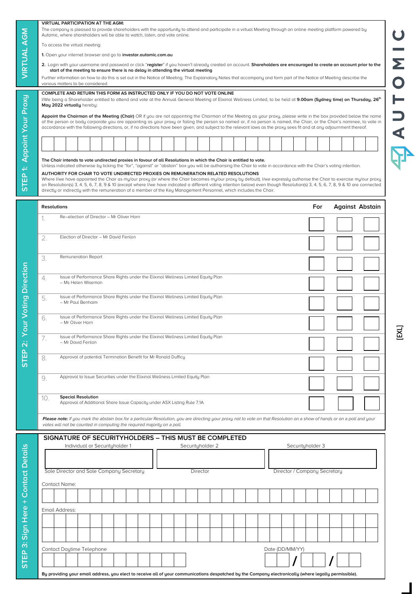|                                                                                                               |  |                           |  |  |  |  |                                |  |  |  |                                          |  |  |  | start of the meeting to ensure there is no delay in attending the virtual meeting |  |                                                       |                                                                                                                                                                                                           |                 |  |                                                                                                                                                                            |     |  |  | 2. Login with your username and password or click "register" if you haven't already created an account. Shareholders are encouraged to create an account prior to the                                                                                                                                                                                     | Σ      |
|---------------------------------------------------------------------------------------------------------------|--|---------------------------|--|--|--|--|--------------------------------|--|--|--|------------------------------------------|--|--|--|-----------------------------------------------------------------------------------|--|-------------------------------------------------------|-----------------------------------------------------------------------------------------------------------------------------------------------------------------------------------------------------------|-----------------|--|----------------------------------------------------------------------------------------------------------------------------------------------------------------------------|-----|--|--|-----------------------------------------------------------------------------------------------------------------------------------------------------------------------------------------------------------------------------------------------------------------------------------------------------------------------------------------------------------|--------|
| various matters to be considered.                                                                             |  |                           |  |  |  |  |                                |  |  |  |                                          |  |  |  |                                                                                   |  |                                                       |                                                                                                                                                                                                           |                 |  | Further information on how to do this is set out in the Notice of Meeting. The Explanatory Notes that accompany and form part of the Notice of Meeting describe the        |     |  |  |                                                                                                                                                                                                                                                                                                                                                           |        |
| COMPLETE AND RETURN THIS FORM AS INSTRUCTED ONLY IF YOU DO NOT VOTE ONLINE                                    |  |                           |  |  |  |  |                                |  |  |  |                                          |  |  |  |                                                                                   |  |                                                       |                                                                                                                                                                                                           |                 |  |                                                                                                                                                                            |     |  |  | I/We being a Shareholder entitled to attend and vote at the Annual General Meeting of Elixinol Wellness Limited, to be held at 9.00am (Sydney time) on Thursday, 26th                                                                                                                                                                                     |        |
| May 2022 virtually hereby:                                                                                    |  |                           |  |  |  |  |                                |  |  |  |                                          |  |  |  |                                                                                   |  |                                                       |                                                                                                                                                                                                           |                 |  | accordance with the following directions, or, if no directions have been given, and subject to the relevant laws as the proxy sees fit and at any adjournment thereof.     |     |  |  | Appoint the Chairman of the Meeting (Chair) OR if you are not appointing the Chairman of the Meeting as your proxy, please write in the box provided below the name<br>of the person or body corporate you are appointing as your proxy or failing the person so named or, if no person is named, the Chair, or the Chair's nominee, to vote in           |        |
|                                                                                                               |  |                           |  |  |  |  |                                |  |  |  |                                          |  |  |  |                                                                                   |  |                                                       |                                                                                                                                                                                                           |                 |  |                                                                                                                                                                            |     |  |  |                                                                                                                                                                                                                                                                                                                                                           |        |
|                                                                                                               |  |                           |  |  |  |  |                                |  |  |  |                                          |  |  |  |                                                                                   |  |                                                       | The Chair intends to vote undirected proxies in favour of all Resolutions in which the Chair is entitled to vote.                                                                                         |                 |  |                                                                                                                                                                            |     |  |  |                                                                                                                                                                                                                                                                                                                                                           |        |
|                                                                                                               |  |                           |  |  |  |  |                                |  |  |  |                                          |  |  |  |                                                                                   |  |                                                       | AUTHORITY FOR CHAIR TO VOTE UNDIRECTED PROXIES ON REMUNERATION RELATED RESOLUTIONS<br>directly or indirectly with the remuneration of a member of the Key Management Personnel, which includes the Chair. |                 |  | Unless indicated otherwise by ticking the "for", "against" or "abstain" box you will be authorising the Chair to vote in accordance with the Chair's voting intention.     |     |  |  | Where I/we have appointed the Chair as mu/our proxy (or where the Chair becomes mu/our proxy by default), I/we expressly authorise the Chair to exercise my/our proxy<br>on Resolution(s) 3, 4, 5, 6, 7, 8, 9 & 10 (except where I/we have indicated a different voting intention below) even though Resolution(s) 3, 4, 5, 6, 7, 8, 9 & 10 are connected |        |
| <b>Resolutions</b>                                                                                            |  |                           |  |  |  |  |                                |  |  |  |                                          |  |  |  |                                                                                   |  |                                                       |                                                                                                                                                                                                           |                 |  |                                                                                                                                                                            | For |  |  | <b>Against Abstain</b>                                                                                                                                                                                                                                                                                                                                    |        |
| Re-election of Director - Mr Oliver Horn<br>1.                                                                |  |                           |  |  |  |  |                                |  |  |  |                                          |  |  |  |                                                                                   |  |                                                       |                                                                                                                                                                                                           |                 |  |                                                                                                                                                                            |     |  |  |                                                                                                                                                                                                                                                                                                                                                           |        |
| Election of Director - Mr David Fenlon<br>2.                                                                  |  |                           |  |  |  |  |                                |  |  |  |                                          |  |  |  |                                                                                   |  |                                                       |                                                                                                                                                                                                           |                 |  |                                                                                                                                                                            |     |  |  |                                                                                                                                                                                                                                                                                                                                                           |        |
| Remuneration Report<br>3.                                                                                     |  |                           |  |  |  |  |                                |  |  |  |                                          |  |  |  |                                                                                   |  |                                                       |                                                                                                                                                                                                           |                 |  |                                                                                                                                                                            |     |  |  |                                                                                                                                                                                                                                                                                                                                                           |        |
|                                                                                                               |  |                           |  |  |  |  |                                |  |  |  |                                          |  |  |  |                                                                                   |  |                                                       |                                                                                                                                                                                                           |                 |  |                                                                                                                                                                            |     |  |  |                                                                                                                                                                                                                                                                                                                                                           |        |
| Issue of Performance Share Rights under the Elixinol Wellness Limited Equity Plan<br>4.<br>- Ms Helen Wiseman |  |                           |  |  |  |  |                                |  |  |  |                                          |  |  |  |                                                                                   |  |                                                       |                                                                                                                                                                                                           |                 |  |                                                                                                                                                                            |     |  |  |                                                                                                                                                                                                                                                                                                                                                           |        |
| Issue of Performance Share Rights under the Elixinol Wellness Limited Equity Plan<br>5.<br>- Mr Paul Benhaim  |  |                           |  |  |  |  |                                |  |  |  |                                          |  |  |  |                                                                                   |  |                                                       |                                                                                                                                                                                                           |                 |  |                                                                                                                                                                            |     |  |  |                                                                                                                                                                                                                                                                                                                                                           |        |
| Issue of Performance Share Rights under the Elixinol Wellness Limited Equity Plan<br>6.<br>- Mr Oliver Horn   |  |                           |  |  |  |  |                                |  |  |  |                                          |  |  |  |                                                                                   |  |                                                       |                                                                                                                                                                                                           |                 |  |                                                                                                                                                                            |     |  |  |                                                                                                                                                                                                                                                                                                                                                           |        |
|                                                                                                               |  |                           |  |  |  |  |                                |  |  |  |                                          |  |  |  |                                                                                   |  |                                                       |                                                                                                                                                                                                           |                 |  |                                                                                                                                                                            |     |  |  |                                                                                                                                                                                                                                                                                                                                                           | .<br>צ |
| Issue of Performance Share Rights under the Elixinol Wellness Limited Equity Plan<br>7.<br>- Mr David Fenlon  |  |                           |  |  |  |  |                                |  |  |  |                                          |  |  |  |                                                                                   |  |                                                       |                                                                                                                                                                                                           |                 |  |                                                                                                                                                                            |     |  |  |                                                                                                                                                                                                                                                                                                                                                           |        |
| Approval of potential Termination Benefit for Mr Ronald Dufficu<br>8.                                         |  |                           |  |  |  |  |                                |  |  |  |                                          |  |  |  |                                                                                   |  |                                                       |                                                                                                                                                                                                           |                 |  |                                                                                                                                                                            |     |  |  |                                                                                                                                                                                                                                                                                                                                                           |        |
| 9.                                                                                                            |  |                           |  |  |  |  |                                |  |  |  |                                          |  |  |  | Approval to Issue Securities under the Elixinol Wellness Limited Equity Plan      |  |                                                       |                                                                                                                                                                                                           |                 |  |                                                                                                                                                                            |     |  |  |                                                                                                                                                                                                                                                                                                                                                           |        |
| 10.                                                                                                           |  | <b>Special Resolution</b> |  |  |  |  |                                |  |  |  |                                          |  |  |  | Approval of Additional Share Issue Capacity under ASX Listing Rule 7.1A           |  |                                                       |                                                                                                                                                                                                           |                 |  |                                                                                                                                                                            |     |  |  |                                                                                                                                                                                                                                                                                                                                                           |        |
|                                                                                                               |  |                           |  |  |  |  |                                |  |  |  |                                          |  |  |  |                                                                                   |  |                                                       |                                                                                                                                                                                                           |                 |  | Please note: If you mark the abstain box for a particular Resolution, you are directing your proxy not to vote on that Resolution on a show of hands or on a poll and your |     |  |  |                                                                                                                                                                                                                                                                                                                                                           |        |
| votes will not be counted in computing the required majority on a poll.                                       |  |                           |  |  |  |  |                                |  |  |  |                                          |  |  |  |                                                                                   |  |                                                       |                                                                                                                                                                                                           |                 |  |                                                                                                                                                                            |     |  |  |                                                                                                                                                                                                                                                                                                                                                           |        |
|                                                                                                               |  |                           |  |  |  |  | Individual or Securityholder 1 |  |  |  |                                          |  |  |  | Securityholder 2                                                                  |  | SIGNATURE OF SECURITYHOLDERS - THIS MUST BE COMPLETED |                                                                                                                                                                                                           |                 |  | Securityholder 3                                                                                                                                                           |     |  |  |                                                                                                                                                                                                                                                                                                                                                           |        |
|                                                                                                               |  |                           |  |  |  |  |                                |  |  |  |                                          |  |  |  |                                                                                   |  |                                                       |                                                                                                                                                                                                           |                 |  |                                                                                                                                                                            |     |  |  |                                                                                                                                                                                                                                                                                                                                                           |        |
|                                                                                                               |  |                           |  |  |  |  |                                |  |  |  | Sole Director and Sole Company Secretary |  |  |  | Director                                                                          |  |                                                       |                                                                                                                                                                                                           |                 |  | Director / Company Secretary                                                                                                                                               |     |  |  |                                                                                                                                                                                                                                                                                                                                                           |        |
| <b>Contact Name:</b>                                                                                          |  |                           |  |  |  |  |                                |  |  |  |                                          |  |  |  |                                                                                   |  |                                                       |                                                                                                                                                                                                           |                 |  |                                                                                                                                                                            |     |  |  |                                                                                                                                                                                                                                                                                                                                                           |        |
| Email Address:                                                                                                |  |                           |  |  |  |  |                                |  |  |  |                                          |  |  |  |                                                                                   |  |                                                       |                                                                                                                                                                                                           |                 |  |                                                                                                                                                                            |     |  |  |                                                                                                                                                                                                                                                                                                                                                           |        |
|                                                                                                               |  |                           |  |  |  |  |                                |  |  |  |                                          |  |  |  |                                                                                   |  |                                                       |                                                                                                                                                                                                           |                 |  |                                                                                                                                                                            |     |  |  |                                                                                                                                                                                                                                                                                                                                                           |        |
|                                                                                                               |  |                           |  |  |  |  |                                |  |  |  |                                          |  |  |  |                                                                                   |  |                                                       |                                                                                                                                                                                                           |                 |  |                                                                                                                                                                            |     |  |  |                                                                                                                                                                                                                                                                                                                                                           |        |
| Contact Daytime Telephone                                                                                     |  |                           |  |  |  |  |                                |  |  |  |                                          |  |  |  |                                                                                   |  |                                                       |                                                                                                                                                                                                           | Date (DD/MM/YY) |  |                                                                                                                                                                            |     |  |  |                                                                                                                                                                                                                                                                                                                                                           |        |
|                                                                                                               |  |                           |  |  |  |  |                                |  |  |  |                                          |  |  |  |                                                                                   |  |                                                       |                                                                                                                                                                                                           |                 |  |                                                                                                                                                                            |     |  |  |                                                                                                                                                                                                                                                                                                                                                           |        |